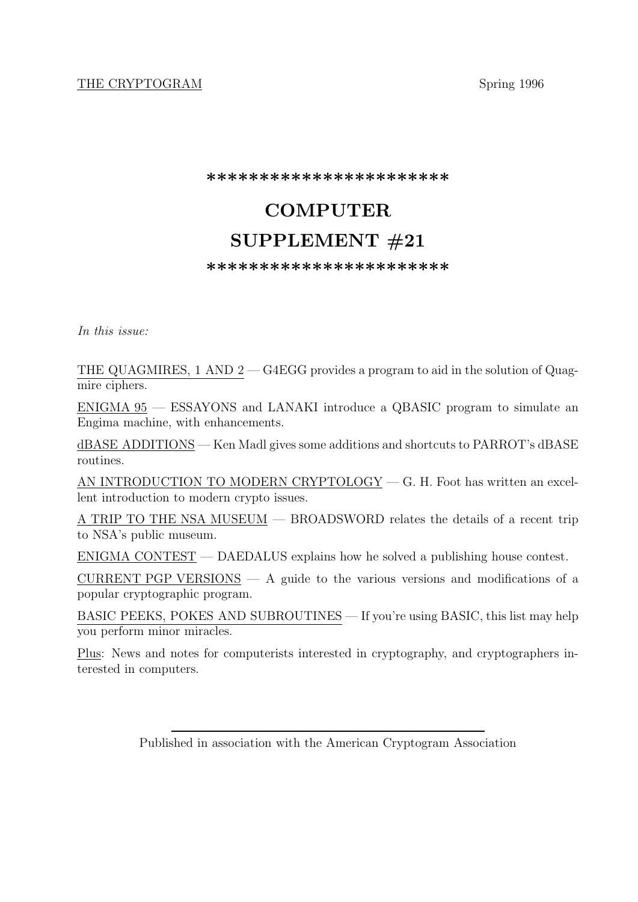THE CRYPTOGRAM Spring 1996

**\*\*\*\*\*\*\*\*\*\*\*\*\*\*\*\*\*\*\*\*\*\*\***

# **COMPUTER SUPPLEMENT #21**

**\*\*\*\*\*\*\*\*\*\*\*\*\*\*\*\*\*\*\*\*\*\*\***

*In this issue:*

THE QUAGMIRES,  $1$  AND  $2 - G4EGG$  provides a program to aid in the solution of Quagmire ciphers.

ENIGMA 95 — ESSAYONS and LANAKI introduce a QBASIC program to simulate an Engima machine, with enhancements.

dBASE ADDITIONS — Ken Madl gives some additions and shortcuts to PARROT's dBASE routines.

AN INTRODUCTION TO MODERN CRYPTOLOGY — G. H. Foot has written an excellent introduction to modern crypto issues.

A TRIP TO THE NSA MUSEUM — BROADSWORD relates the details of a recent trip to NSA's public museum.

ENIGMA CONTEST — DAEDALUS explains how he solved a publishing house contest.

CURRENT PGP VERSIONS  $- A$  guide to the various versions and modifications of a popular cryptographic program.

BASIC PEEKS, POKES AND SUBROUTINES — If you're using BASIC, this list may help you perform minor miracles.

Plus: News and notes for computerists interested in cryptography, and cryptographers interested in computers.

Published in association with the American Cryptogram Association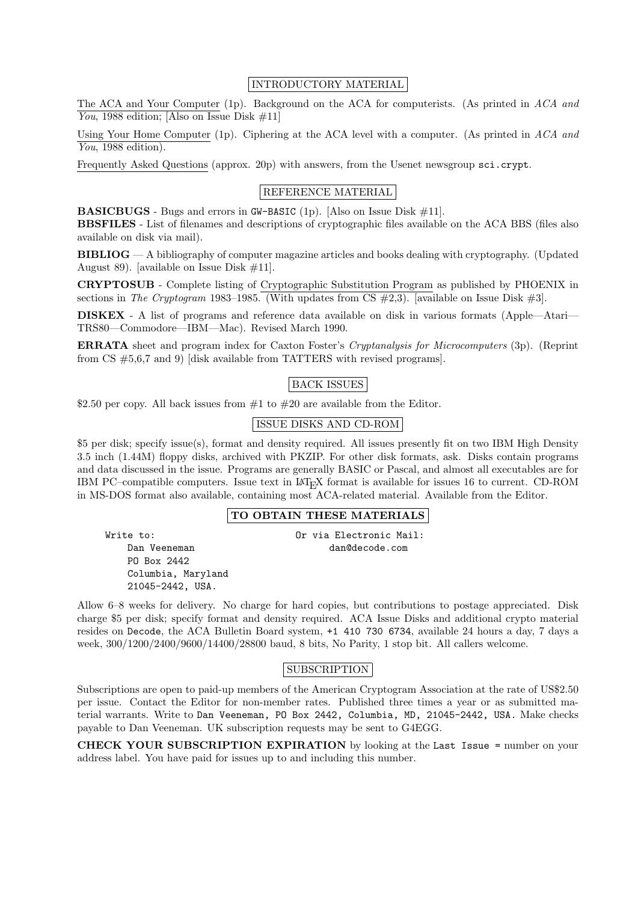### INTRODUCTORY MATERIAL

The ACA and Your Computer (1p). Background on the ACA for computerists. (As printed in *ACA and You*, 1988 edition; [Also on Issue Disk #11]

Using Your Home Computer (1p). Ciphering at the ACA level with a computer. (As printed in *ACA and You*, 1988 edition).

Frequently Asked Questions (approx. 20p) with answers, from the Usenet newsgroup sci.crypt.

# REFERENCE MATERIAL

**BASICBUGS** - Bugs and errors in GW-BASIC (1p). [Also on Issue Disk #11].

**BBSFILES** - List of filenames and descriptions of cryptographic files available on the ACA BBS (files also available on disk via mail).

**BIBLIOG** — A bibliography of computer magazine articles and books dealing with cryptography. (Updated August 89). [available on Issue Disk #11].

**CRYPTOSUB** - Complete listing of Cryptographic Substitution Program as published by PHOENIX in sections in *The Cryptogram* 1983–1985. (With updates from CS #2,3). [available on Issue Disk #3].

**DISKEX** - A list of programs and reference data available on disk in various formats (Apple—Atari— TRS80—Commodore—IBM—Mac). Revised March 1990.

**ERRATA** sheet and program index for Caxton Foster's *Cryptanalysis for Microcomputers* (3p). (Reprint from CS #5,6,7 and 9) [disk available from TATTERS with revised programs].

## BACK ISSUES

\$2.50 per copy. All back issues from  $#1$  to  $#20$  are available from the Editor.

## ISSUE DISKS AND CD-ROM

\$5 per disk; specify issue(s), format and density required. All issues presently fit on two IBM High Density 3.5 inch (1.44M) floppy disks, archived with PKZIP. For other disk formats, ask. Disks contain programs and data discussed in the issue. Programs are generally BASIC or Pascal, and almost all executables are for IBM PC–compatible computers. Issue text in LAT<sub>E</sub>X format is available for issues 16 to current. CD-ROM in MS-DOS format also available, containing most ACA-related material. Available from the Editor.

### **TO OBTAIN THESE MATERIALS**

PO Box 2442 Columbia, Maryland 21045-2442, USA.

Write to: Or via Electronic Mail: Dan Veeneman dan@decode.com

Allow 6–8 weeks for delivery. No charge for hard copies, but contributions to postage appreciated. Disk charge \$5 per disk; specify format and density required. ACA Issue Disks and additional crypto material resides on Decode, the ACA Bulletin Board system, +1 410 730 6734, available 24 hours a day, 7 days a week, 300/1200/2400/9600/14400/28800 baud, 8 bits, No Parity, 1 stop bit. All callers welcome.

### SUBSCRIPTION

Subscriptions are open to paid-up members of the American Cryptogram Association at the rate of US\$2.50 per issue. Contact the Editor for non-member rates. Published three times a year or as submitted material warrants. Write to Dan Veeneman, PO Box 2442, Columbia, MD, 21045-2442, USA. Make checks payable to Dan Veeneman. UK subscription requests may be sent to G4EGG.

**CHECK YOUR SUBSCRIPTION EXPIRATION** by looking at the Last Issue = number on your address label. You have paid for issues up to and including this number.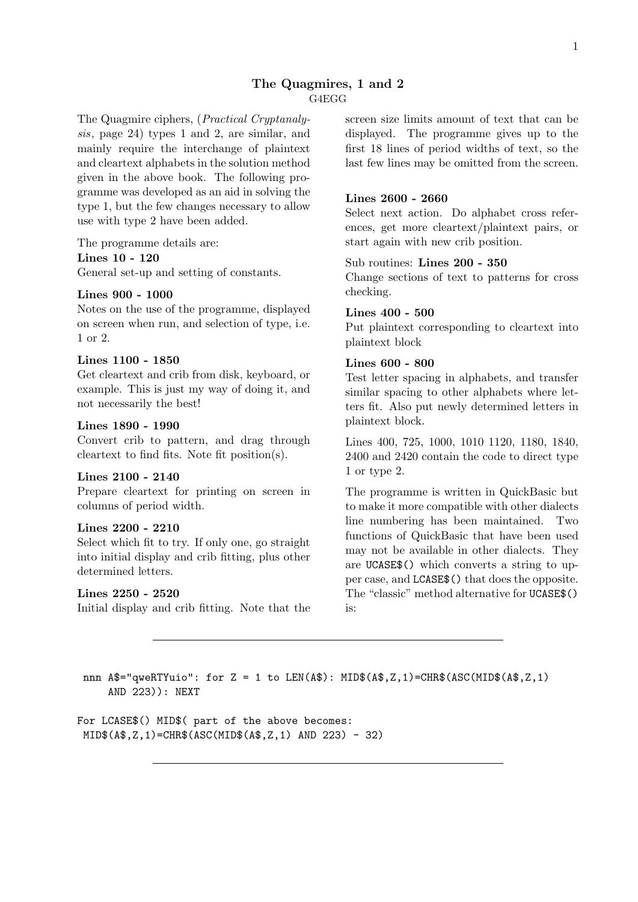# **The Quagmires, 1 and 2** G4EGG

The Quagmire ciphers, (*Practical Cryptanalysis*, page 24) types 1 and 2, are similar, and mainly require the interchange of plaintext and cleartext alphabets in the solution method given in the above book. The following programme was developed as an aid in solving the type 1, but the few changes necessary to allow use with type 2 have been added.

The programme details are: **Lines 10 - 120** General set-up and setting of constants.

### **Lines 900 - 1000**

Notes on the use of the programme, displayed on screen when run, and selection of type, i.e. 1 or 2.

### **Lines 1100 - 1850**

Get cleartext and crib from disk, keyboard, or example. This is just my way of doing it, and not necessarily the best!

#### **Lines 1890 - 1990**

Convert crib to pattern, and drag through cleartext to find fits. Note fit position(s).

#### **Lines 2100 - 2140**

Prepare cleartext for printing on screen in columns of period width.

### **Lines 2200 - 2210**

Select which fit to try. If only one, go straight into initial display and crib fitting, plus other determined letters.

# **Lines 2250 - 2520**

Initial display and crib fitting. Note that the

screen size limits amount of text that can be displayed. The programme gives up to the first 18 lines of period widths of text, so the last few lines may be omitted from the screen.

#### **Lines 2600 - 2660**

Select next action. Do alphabet cross references, get more cleartext/plaintext pairs, or start again with new crib position.

### Sub routines: **Lines 200 - 350**

Change sections of text to patterns for cross checking.

#### **Lines 400 - 500**

Put plaintext corresponding to cleartext into plaintext block

#### **Lines 600 - 800**

Test letter spacing in alphabets, and transfer similar spacing to other alphabets where letters fit. Also put newly determined letters in plaintext block.

Lines 400, 725, 1000, 1010 1120, 1180, 1840, 2400 and 2420 contain the code to direct type 1 or type 2.

The programme is written in QuickBasic but to make it more compatible with other dialects line numbering has been maintained. Two functions of QuickBasic that have been used may not be available in other dialects. They are UCASE\$() which converts a string to upper case, and LCASE\$() that does the opposite. The "classic" method alternative for UCASE\$() is:

nnn  $A$ \$="qweRTYuio": for  $Z = 1$  to  $LEN(A\$ ):  $MID\$(A\$, Z, 1) = CHR\$(ASC(MID\$(A\$, Z, 1)$ AND 223)): NEXT

For LCASE\$() MID\$( part of the above becomes: MID\$(A\$,Z,1)=CHR\$(ASC(MID\$(A\$,Z,1) AND 223) - 32)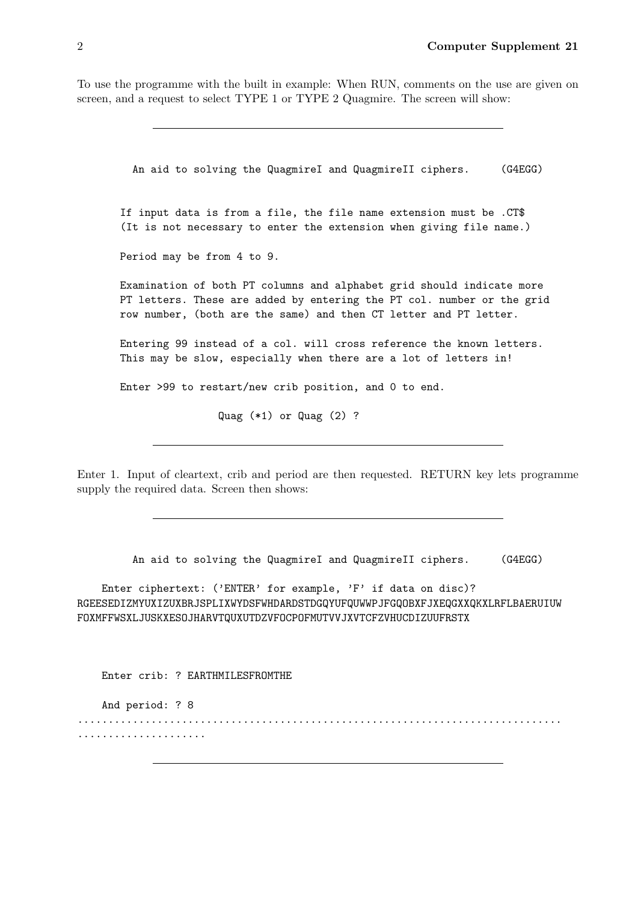To use the programme with the built in example: When RUN, comments on the use are given on screen, and a request to select TYPE 1 or TYPE 2 Quagmire. The screen will show:

An aid to solving the QuagmireI and QuagmireII ciphers. (G4EGG) If input data is from a file, the file name extension must be .CT\$ (It is not necessary to enter the extension when giving file name.) Period may be from 4 to 9. Examination of both PT columns and alphabet grid should indicate more PT letters. These are added by entering the PT col. number or the grid row number, (both are the same) and then CT letter and PT letter. Entering 99 instead of a col. will cross reference the known letters. This may be slow, especially when there are a lot of letters in! Enter >99 to restart/new crib position, and 0 to end. Quag (\*1) or Quag (2) ?

Enter 1. Input of cleartext, crib and period are then requested. RETURN key lets programme supply the required data. Screen then shows:

An aid to solving the QuagmireI and QuagmireII ciphers. (G4EGG)

Enter ciphertext: ('ENTER' for example, 'F' if data on disc)? RGEESEDIZMYUXIZUXBRJSPLIXWYDSFWHDARDSTDGQYUFQUWWPJFGQOBXFJXEQGXXQKXLRFLBAERUIUW FOXMFFWSXLJUSKXESOJHARVTQUXUTDZVFOCPOFMUTVVJXVTCFZVHUCDIZUUFRSTX

Enter crib: ? EARTHMILESFROMTHE

And period: ? 8

............................................................................... .....................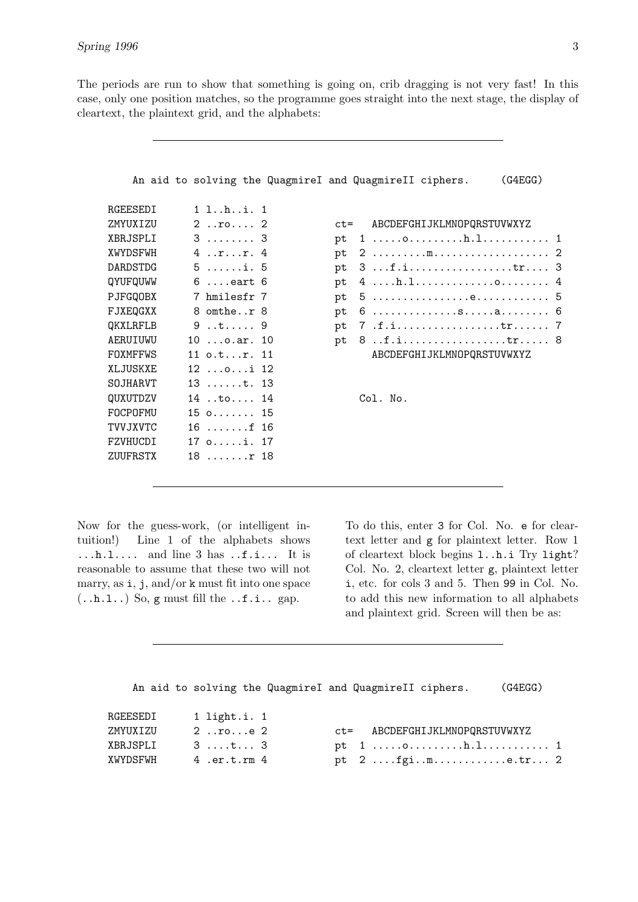The periods are run to show that something is going on, crib dragging is not very fast! In this case, only one position matches, so the programme goes straight into the next stage, the display of cleartext, the plaintext grid, and the alphabets:

|                                                                                                                                  |                                                                                                                                                                     |  |                      |          | An aid to solving the QuagmireI and QuagmireII ciphers. (G4EGG)                                                                             |  |
|----------------------------------------------------------------------------------------------------------------------------------|---------------------------------------------------------------------------------------------------------------------------------------------------------------------|--|----------------------|----------|---------------------------------------------------------------------------------------------------------------------------------------------|--|
| RGEESEDI<br>ZMYUXIZU<br>XBRJSPLI<br>XWYDSFWH<br>DARDSTDG<br>QYUFQUWW<br>PJFGOOBX<br>FJXEQGXX<br>QKXLRFLB<br>AERUIUWU<br>FOXMFFWS | $1 1.$ hi. $1$<br>$2 \ldots$ ro 2<br>33<br>4rr.4<br>$5 \ldots$ . i. $5$<br>$6 \ldots$ eart $6$<br>7 hmilesfr 7<br>8 omther 8<br>$9t$ 9<br>100.ar. 10<br>11 o.tr. 11 |  | pt<br>pt<br>pt<br>pt |          | ct= ABCDEFGHIJKLMNOPQRSTUVWXYZ<br>2 m 2<br>3 f.itr 3<br>4 h.lo 4<br>pt 5 e 5<br>pt 7 .f.itr 7<br>pt 8.f.itr 8<br>ABCDEFGHIJKLMNOPQRSTUVWXYZ |  |
| XLJUSKXE<br>SOJHARVT<br>QUXUTDZV<br>FOCPOFMU<br>TVVJXVTC<br>FZVHUCDI<br>ZUUFRSTX                                                 | $12 \ldots 0 \ldots i \; 12$<br>13t.13<br>$14$ to $14$<br>15015<br>$16$ $16$<br>170i.17<br>$18r$ 18                                                                 |  |                      | Col. No. |                                                                                                                                             |  |

Now for the guess-work, (or intelligent intuition!) Line 1 of the alphabets shows ...h.l.... and line 3 has ..f.i... It is reasonable to assume that these two will not marry, as i, j, and/or k must fit into one space  $(..h.1..)$  So, g must fill the  $..f.i..$  gap.

To do this, enter 3 for Col. No. e for cleartext letter and g for plaintext letter. Row 1 of cleartext block begins l..h.i Try light? Col. No. 2, cleartext letter g, plaintext letter i, etc. for cols 3 and 5. Then 99 in Col. No. to add this new information to all alphabets and plaintext grid. Screen will then be as:

|          |                  |  |        | An aid to solving the QuagmireI and QuagmireII ciphers. | (G4EGG) |  |
|----------|------------------|--|--------|---------------------------------------------------------|---------|--|
| RGEESEDI | 1 light.i. 1     |  |        |                                                         |         |  |
| ZMYUXIZU | $2roe$ 2         |  | $ct =$ | ABCDEFGHIJKLMNOPORSTUVWXYZ                              |         |  |
| XBRJSPLI | $3 \ldots$ t $3$ |  |        |                                                         |         |  |
| XWYDSFWH | $4$ .er.t.rm $4$ |  |        | pt $2 \ldots$ . fgi. m e.tr 2                           |         |  |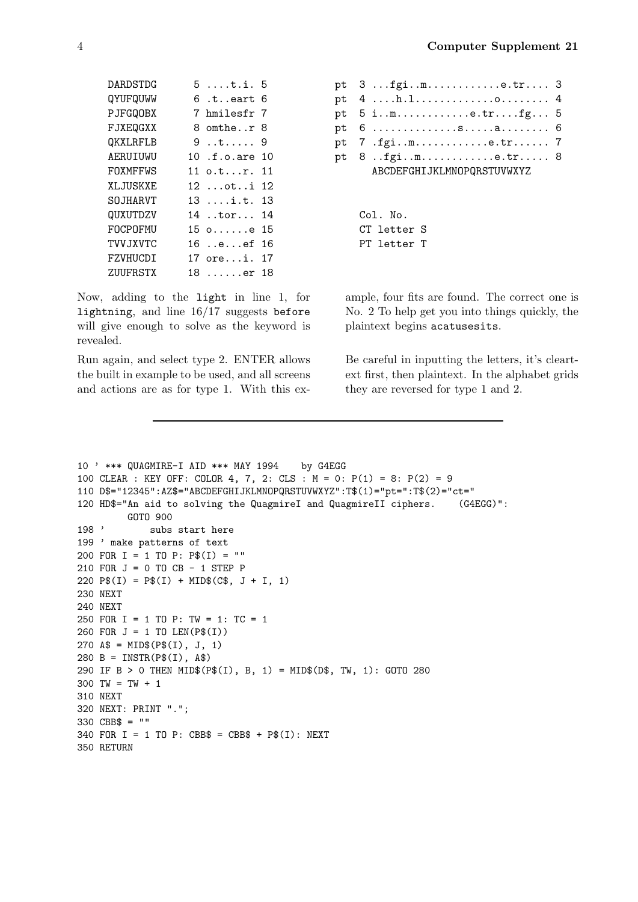| DARDSTDG  |    | 5 t.i. 5            |    |
|-----------|----|---------------------|----|
| QYUFQUWW  |    | 6 .teart 6          |    |
| PJFGQOBX  |    | 7 hmilesfr 7        |    |
| FJXEQGXX  | 8  | omther              | 8  |
| QKXLRFLB  | 9  | $\ldots$ t          | 9  |
| AERUIUWU  |    | $10$ .f.o.are       | 10 |
| FOXMFFWS  | 11 | $0.t.$ . $r.$       | 11 |
| XL.JUSKXE |    | 12 oti 12           |    |
| SOJHARVT  |    | 13 i.t.             | 13 |
| QUXUTDZV  | 14 | $\dots$ tor $\dots$ | 14 |
| FOCPOFMU  | 15 | 0.00000             | 15 |
| TVVJXVTC  |    | 16 eef              | 16 |
| FZVHUCDI  | 17 | orei.               | 17 |
| ZUUFRSTX  | 18 | $\ldots \ldots$ er  | 18 |

Now, adding to the light in line 1, for lightning, and line 16/17 suggests before will give enough to solve as the keyword is revealed.

Run again, and select type 2. ENTER allows the built in example to be used, and all screens and actions are as for type 1. With this ex-

| DARDSTDG        | 5t.i.5               | pt $3 \ldots$ fgime.tr 3                                        |  |
|-----------------|----------------------|-----------------------------------------------------------------|--|
| QYUFQUWW        | $6. t. .$ eart $6$   | pt $4 \ldots h.1 \ldots \ldots \ldots \ldots 0 \ldots \ldots 4$ |  |
| <b>PJFGQOBX</b> | 7 hmilesfr 7         | pt $5$ i.me.trfg $5$                                            |  |
| FJXEQGXX        | 8 omther 8           | pt $6 \ldots \ldots \ldots \ldots \ldots$                       |  |
| QKXLRFLB        | $9t$ 9               | pt 7.fgime.tr 7                                                 |  |
| AERUIUWU        | 10 .f.o.are 10       | pt 8fgime.tr 8                                                  |  |
| FOXMFFWS        | 110. tr. 11          | ABCDEFGHIJKLMNOPQRSTUVWXYZ                                      |  |
| XLJUSKXE        | $12 \ldots$ oti $12$ |                                                                 |  |
| SOJHARVT        | 13i.t. 13            |                                                                 |  |

Col. No. CT letter S PT letter T

ample, four fits are found. The correct one is No. 2 To help get you into things quickly, the plaintext begins acatusesits.

Be careful in inputting the letters, it's cleartext first, then plaintext. In the alphabet grids they are reversed for type 1 and 2.

```
10 ' *** QUAGMIRE-I AID *** MAY 1994 by G4EGG
100 CLEAR : KEY OFF: COLOR 4, 7, 2: CLS : M = 0: P(1) = 8: P(2) = 9
110 D$="12345":AZ$="ABCDEFGHIJKLMNOPQRSTUVWXYZ":T$(1)="pt=":T$(2)="ct="
120 HD$="An aid to solving the QuagmireI and QuagmireII ciphers. (G4EGG)":
         GOTO 900
198<sup>'</sup> subs start here
199 ' make patterns of text
200 FOR I = 1 TO P: P$(I) = ""
210 FOR J = 0 TO CB - 1 STEP P
220 P$(I) = P$(I) + MID$(C$, J + I, 1)230 NEXT
240 NEXT
250 FOR I = 1 TO P: TW = 1: TC = 1
260 FOR J = 1 TO LEN(P$(I))
270 A$ = MID$(P$(I), J, 1)280 B = INSTR(P$(I), A$)
290 IF B > 0 THEN MID$(P$(I), B, 1) = MID$(D$, TW, 1): GOTO 280
300 TW = TW + 1
310 NEXT
320 NEXT: PRINT ".";
330 CBB$ = ""
340 FOR I = 1 TO P: CBB$ = CBB$ + P$(I): NEXT
350 RETURN
```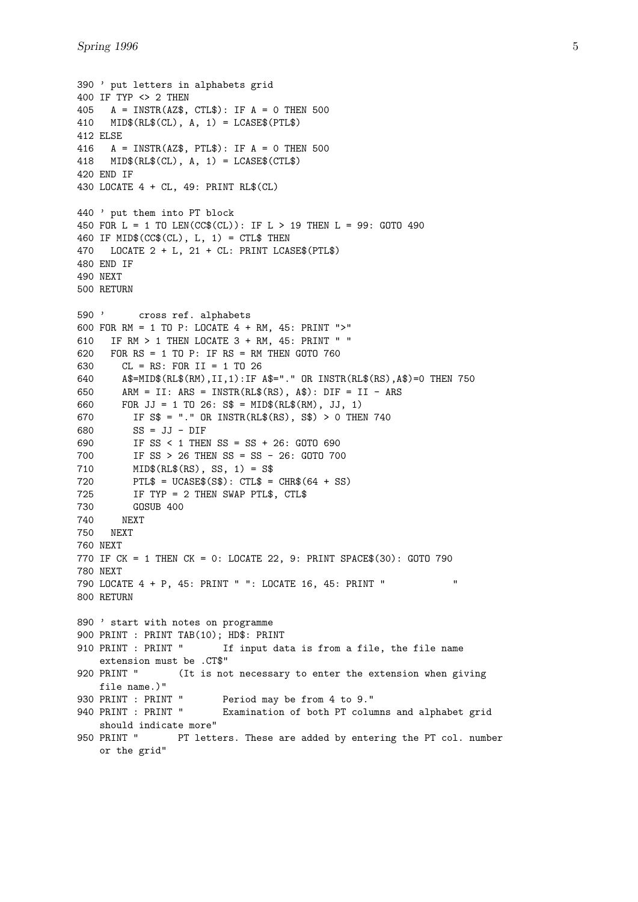```
390 ' put letters in alphabets grid
400 IF TYP <> 2 THEN
405 A = INSTR(AZ$, CTL$): IF A = 0 THEN 500
410 MID$(RL$(CL), A, 1) = LCASE$(PTL$)
412 ELSE
416 A = INSTR(AZ$, PTL$): IF A = 0 THEN 500
418 MID$(RL$(CL), A, 1) = LCASE$(CTL$)
420 END IF
430 LOCATE 4 + CL, 49: PRINT RL$(CL)
440 ' put them into PT block
450 FOR L = 1 TO LEN(CC$(CL)): IF L > 19 THEN L = 99: GOTO 490
460 IF MID$(CC$(CL), L, 1) = CTL$ THEN470 LOCATE 2 + L, 21 + CL: PRINT LCASE$(PTL$)
480 END IF
490 NEXT
500 RETURN
590 ' cross ref. alphabets
600 FOR RM = 1 TO P: LOCATE 4 + RM, 45: PRINT ">"
610 IF RM > 1 THEN LOCATE 3 + RM, 45: PRINT " "
620 FOR RS = 1 TO P: IF RS = RM THEN GOTO 760
630 CL = RS: FOR II = 1 TO 26
640 A$=MID$(RL$(RM),II,1):IF A$="." OR INSTR(RL$(RS),A$)=0 THEN 750
650 ARM = II: ARS = INSTR(RL$(RS), A$): DIF = II - ARS
660 FOR JJ = 1 TO 26: S$ = MID$(RL$(RM), JJ, 1)
670 IF S$ = "." OR INSTR(RL$(RS), S$) > 0 THEN 740
680 SS = JJ - DIF
690 IF SS < 1 THEN SS = SS + 26: GOTO 690
700 IF SS > 26 THEN SS = SS - 26: GOTO 700
710 MID$(RL$(RS), SS, 1) = S$
720 PTL$ = UCASE$(S$): CTL$ = CHR$(64 + SS)725 IF TYP = 2 THEN SWAP PTL$, CTL$
730 GOSUB 400
740 NEXT
750 NEXT
760 NEXT
770 IF CK = 1 THEN CK = 0: LOCATE 22, 9: PRINT SPACE$(30): GOTO 790
780 NEXT
790 LOCATE 4 + P, 45: PRINT " ": LOCATE 16, 45: PRINT " "
800 RETURN
890 ' start with notes on programme
900 PRINT : PRINT TAB(10); HD$: PRINT
910 PRINT : PRINT " If input data is from a file, the file name
   extension must be .CT$"
920 PRINT " (It is not necessary to enter the extension when giving
   file name.)"
930 PRINT : PRINT " Period may be from 4 to 9."<br>940 PRINT : PRINT " Examination of both PT colu
                       Examination of both PT columns and alphabet grid
   should indicate more"
950 PRINT " PT letters. These are added by entering the PT col. number
   or the grid"
```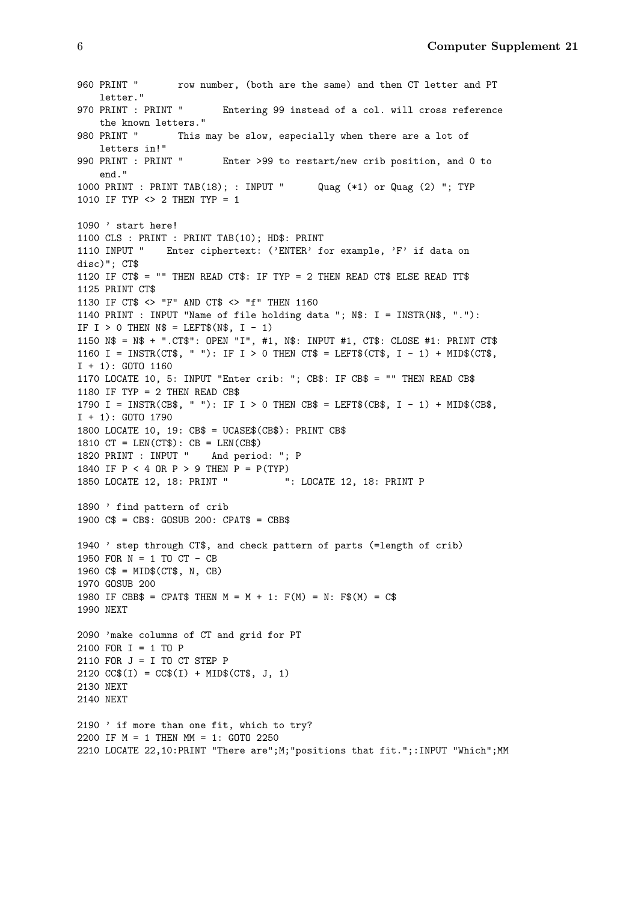```
960 PRINT " row number, (both are the same) and then CT letter and PT
   letter."
970 PRINT : PRINT " Entering 99 instead of a col. will cross reference
   the known letters."
980 PRINT " This may be slow, especially when there are a lot of
   letters in!"
990 PRINT : PRINT " Enter >99 to restart/new crib position, and 0 to
   end."
1000 PRINT : PRINT TAB(18); : INPUT " Quag (*1) or Quag (2) "; TYP
1010 IF TYP <> 2 THEN TYP = 1
1090 ' start here!
1100 CLS : PRINT : PRINT TAB(10); HD$: PRINT
1110 INPUT " Enter ciphertext: ('ENTER' for example, 'F' if data on
disc)"; CT$
1120 IF CT$ = "" THEN READ CT$: IF TYP = 2 THEN READ CT$ ELSE READ TT$
1125 PRINT CT$
1130 IF CT$ <> "F" AND CT$ <> "f" THEN 1160
1140 PRINT : INPUT "Name of file holding data "; N$: I = INSTR(N$, "."):
IF I > 0 THEN N$ = LEFT$(N$, I - 1)1150 N$ = N$ + ".CT$": OPEN "I", #1, N$: INPUT #1, CT$: CLOSE #1: PRINT CT$
1160 I = INSTR(CT$, " "): IF I > 0 THEN CT$ = LEFT$(CT$, I - 1) + MID$(CT$,
I + 1: GOTO 1160
1170 LOCATE 10, 5: INPUT "Enter crib: "; CB$: IF CB$ = "" THEN READ CB$
1180 IF TYP = 2 THEN READ CB$1790 I = INSTR(CB$, " "): IF I > 0 THEN CB$ = LEFT$(CB$, I - 1) + MID$(CB$,
I + 1: GOTO 1790
1800 LOCATE 10, 19: CB$ = UCASE$(CB$): PRINT CB$
1810 CT = LEN(CT$): CB = LEN(CB$)1820 PRINT : INPUT " And period: "; P
1840 IF P < 4 OR P > 9 THEN P = P(TYP)1850 LOCATE 12, 18: PRINT " ": LOCATE 12, 18: PRINT P
1890 ' find pattern of crib
1900 C$ = CB$: GOSUB 200: CPAT$ = CBB$
1940 ' step through CT$, and check pattern of parts (=length of crib)
1950 FOR N = 1 TO CT - CB
1960 C$ = MID$(CT$, N, CB)
1970 GOSUB 200
1980 IF CBB$ = CPAT$ THEN M = M + 1: F(M) = N: F$ (M) = C$1990 NEXT
2090 'make columns of CT and grid for PT
2100 FOR I = 1 TO P
2110 FOR J = I TO CT STEP P
2120 \text{ CC$(I) = CC$(I) + MID$(CT$(, J, 1)2130 NEXT
2140 NEXT
2190 ' if more than one fit, which to try?
2200 IF M = 1 THEN MM = 1: GOTO 2250
2210 LOCATE 22,10:PRINT "There are";M;"positions that fit.";:INPUT "Which";MM
```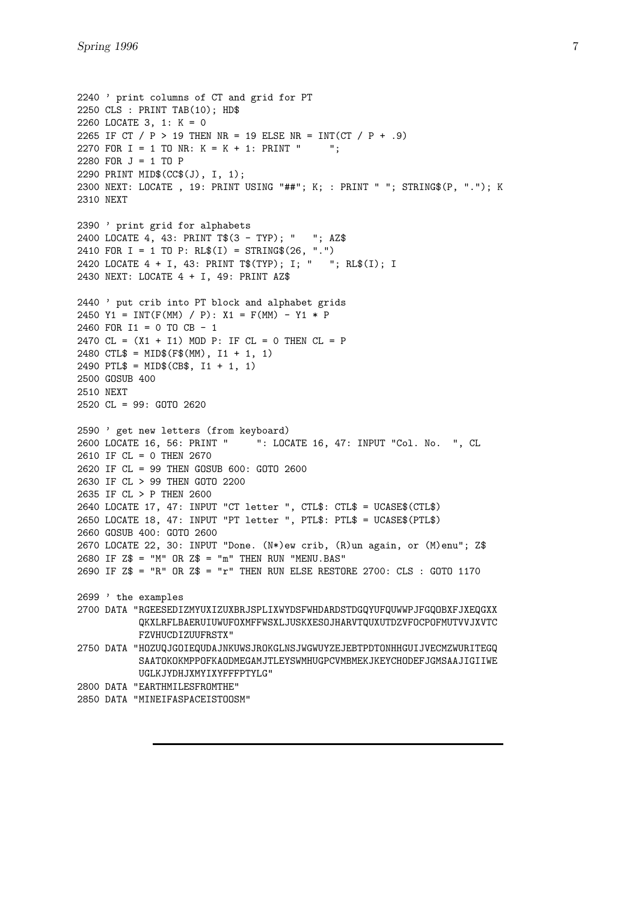```
2240 ' print columns of CT and grid for PT
2250 CLS : PRINT TAB(10); HD$
2260 LOCATE 3, 1: K = 0
2265 IF CT / P > 19 THEN NR = 19 ELSE NR = INT(CT / P + .9)
2270 FOR I = 1 TO NR: K = K + 1: PRINT " ";
2280 FOR J = 1 TO P
2290 PRINT MID$(CC$(J), I, 1);
2300 NEXT: LOCATE , 19: PRINT USING "##"; K; : PRINT " "; STRING$(P, "."); K
2310 NEXT
2390 ' print grid for alphabets
2400 LOCATE 4, 43: PRINT T$(3 - TYP); " "; AZ$
2410 FOR I = 1 TO P: RL$(I) = STRING$(26, ".")
2420 LOCATE 4 + I, 43: PRINT T$(TYP); I; " "; RL$(I); I
2430 NEXT: LOCATE 4 + I, 49: PRINT AZ$
2440 ' put crib into PT block and alphabet grids
2450 Y1 = INT(F(MM) / P): X1 = F(MM) - Y1 * P
2460 FOR I1 = 0 TO CB - 1
2470 CL = (X1 + I1) MOD P: IF CL = 0 THEN CL = P
2480 CTL$ = MID$(F$(MM), I1 + 1, 1)2490 PTL$ = MID$(CB$, I1 + 1, 1)2500 GOSUB 400
2510 NEXT
2520 CL = 99: GOTO 2620
2590 ' get new letters (from keyboard)
2600 LOCATE 16, 56: PRINT " ": LOCATE 16, 47: INPUT "Col. No. ", CL
2610 IF CL = 0 THEN 2670
2620 IF CL = 99 THEN GOSUB 600: GOTO 2600
2630 IF CL > 99 THEN GOTO 2200
2635 IF CL > P THEN 2600
2640 LOCATE 17, 47: INPUT "CT letter ", CTL$: CTL$ = UCASE$(CTL$)
2650 LOCATE 18, 47: INPUT "PT letter ", PTL$: PTL$ = UCASE$(PTL$)
2660 GOSUB 400: GOTO 2600
2670 LOCATE 22, 30: INPUT "Done. (N*)ew crib, (R)un again, or (M)enu"; Z$
2680 IF Z$ = "M" OR Z$ = "m" THEN RUN "MENU.BAS"
2690 IF Z$ = "R" OR Z$ = "r" THEN RUN ELSE RESTORE 2700: CLS : GOTO 1170
2699 ' the examples
2700 DATA "RGEESEDIZMYUXIZUXBRJSPLIXWYDSFWHDARDSTDGQYUFQUWWPJFGQOBXFJXEQGXX
           QKXLRFLBAERUIUWUFOXMFFWSXLJUSKXESOJHARVTQUXUTDZVFOCPOFMUTVVJXVTC
           FZVHUCDIZUUFRSTX"
2750 DATA "HOZUQJGOIEQUDAJNKUWSJROKGLNSJWGWUYZEJEBTPDTONHHGUIJVECMZWURITEGQ
           SAATOKOKMPPOFKAODMEGAMJTLEYSWMHUGPCVMBMEKJKEYCHODEFJGMSAAJIGIIWE
           UGLKJYDHJXMYIXYFFFPTYLG"
2800 DATA "EARTHMILESFROMTHE"
2850 DATA "MINEIFASPACEISTOOSM"
```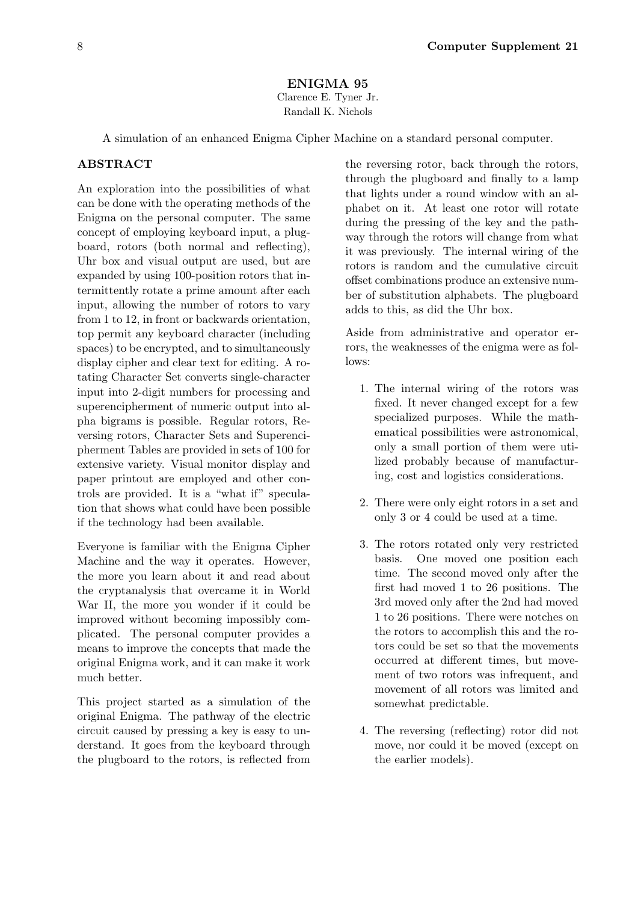**ENIGMA 95** Clarence E. Tyner Jr. Randall K. Nichols

A simulation of an enhanced Enigma Cipher Machine on a standard personal computer.

### **ABSTRACT**

An exploration into the possibilities of what can be done with the operating methods of the Enigma on the personal computer. The same concept of employing keyboard input, a plugboard, rotors (both normal and reflecting), Uhr box and visual output are used, but are expanded by using 100-position rotors that intermittently rotate a prime amount after each input, allowing the number of rotors to vary from 1 to 12, in front or backwards orientation, top permit any keyboard character (including spaces) to be encrypted, and to simultaneously display cipher and clear text for editing. A rotating Character Set converts single-character input into 2-digit numbers for processing and superencipherment of numeric output into alpha bigrams is possible. Regular rotors, Reversing rotors, Character Sets and Superencipherment Tables are provided in sets of 100 for extensive variety. Visual monitor display and paper printout are employed and other controls are provided. It is a "what if" speculation that shows what could have been possible if the technology had been available.

Everyone is familiar with the Enigma Cipher Machine and the way it operates. However, the more you learn about it and read about the cryptanalysis that overcame it in World War II, the more you wonder if it could be improved without becoming impossibly complicated. The personal computer provides a means to improve the concepts that made the original Enigma work, and it can make it work much better.

This project started as a simulation of the original Enigma. The pathway of the electric circuit caused by pressing a key is easy to understand. It goes from the keyboard through the plugboard to the rotors, is reflected from the reversing rotor, back through the rotors, through the plugboard and finally to a lamp that lights under a round window with an alphabet on it. At least one rotor will rotate during the pressing of the key and the pathway through the rotors will change from what it was previously. The internal wiring of the rotors is random and the cumulative circuit offset combinations produce an extensive number of substitution alphabets. The plugboard adds to this, as did the Uhr box.

Aside from administrative and operator errors, the weaknesses of the enigma were as follows:

- 1. The internal wiring of the rotors was fixed. It never changed except for a few specialized purposes. While the mathematical possibilities were astronomical, only a small portion of them were utilized probably because of manufacturing, cost and logistics considerations.
- 2. There were only eight rotors in a set and only 3 or 4 could be used at a time.
- 3. The rotors rotated only very restricted basis. One moved one position each time. The second moved only after the first had moved 1 to 26 positions. The 3rd moved only after the 2nd had moved 1 to 26 positions. There were notches on the rotors to accomplish this and the rotors could be set so that the movements occurred at different times, but movement of two rotors was infrequent, and movement of all rotors was limited and somewhat predictable.
- 4. The reversing (reflecting) rotor did not move, nor could it be moved (except on the earlier models).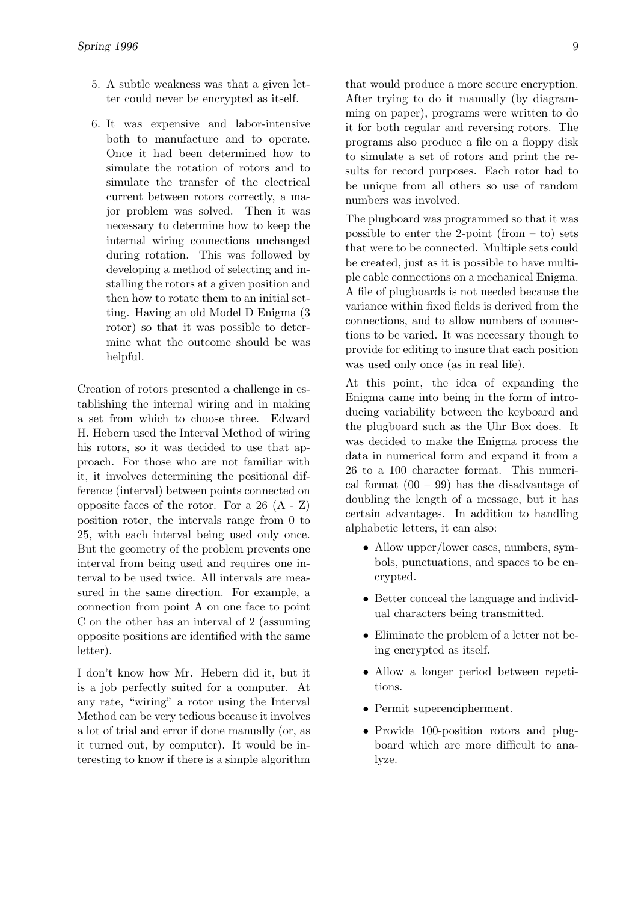- 5. A subtle weakness was that a given letter could never be encrypted as itself.
- 6. It was expensive and labor-intensive both to manufacture and to operate. Once it had been determined how to simulate the rotation of rotors and to simulate the transfer of the electrical current between rotors correctly, a major problem was solved. Then it was necessary to determine how to keep the internal wiring connections unchanged during rotation. This was followed by developing a method of selecting and installing the rotors at a given position and then how to rotate them to an initial setting. Having an old Model D Enigma (3 rotor) so that it was possible to determine what the outcome should be was helpful.

Creation of rotors presented a challenge in establishing the internal wiring and in making a set from which to choose three. Edward H. Hebern used the Interval Method of wiring his rotors, so it was decided to use that approach. For those who are not familiar with it, it involves determining the positional difference (interval) between points connected on opposite faces of the rotor. For a  $26(A - Z)$ position rotor, the intervals range from 0 to 25, with each interval being used only once. But the geometry of the problem prevents one interval from being used and requires one interval to be used twice. All intervals are measured in the same direction. For example, a connection from point A on one face to point C on the other has an interval of 2 (assuming opposite positions are identified with the same letter).

I don't know how Mr. Hebern did it, but it is a job perfectly suited for a computer. At any rate, "wiring" a rotor using the Interval Method can be very tedious because it involves a lot of trial and error if done manually (or, as it turned out, by computer). It would be interesting to know if there is a simple algorithm that would produce a more secure encryption. After trying to do it manually (by diagramming on paper), programs were written to do it for both regular and reversing rotors. The programs also produce a file on a floppy disk to simulate a set of rotors and print the results for record purposes. Each rotor had to be unique from all others so use of random numbers was involved.

The plugboard was programmed so that it was possible to enter the 2-point  $(from - to)$  sets that were to be connected. Multiple sets could be created, just as it is possible to have multiple cable connections on a mechanical Enigma. A file of plugboards is not needed because the variance within fixed fields is derived from the connections, and to allow numbers of connections to be varied. It was necessary though to provide for editing to insure that each position was used only once (as in real life).

At this point, the idea of expanding the Enigma came into being in the form of introducing variability between the keyboard and the plugboard such as the Uhr Box does. It was decided to make the Enigma process the data in numerical form and expand it from a 26 to a 100 character format. This numerical format  $(00 - 99)$  has the disadvantage of doubling the length of a message, but it has certain advantages. In addition to handling alphabetic letters, it can also:

- Allow upper/lower cases, numbers, symbols, punctuations, and spaces to be encrypted.
- Better conceal the language and individual characters being transmitted.
- *•* Eliminate the problem of a letter not being encrypted as itself.
- Allow a longer period between repetitions.
- *•* Permit superencipherment.
- Provide 100-position rotors and plugboard which are more difficult to analyze.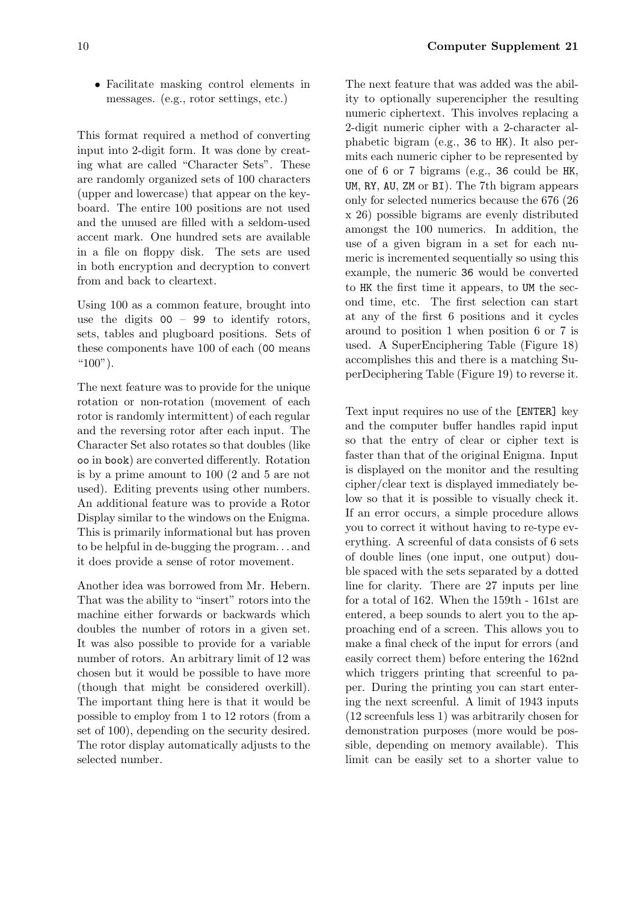• Facilitate masking control elements in messages. (e.g., rotor settings, etc.)

This format required a method of converting input into 2-digit form. It was done by creating what are called "Character Sets". These are randomly organized sets of 100 characters (upper and lowercase) that appear on the keyboard. The entire 100 positions are not used and the unused are filled with a seldom-used accent mark. One hundred sets are available in a file on floppy disk. The sets are used in both encryption and decryption to convert from and back to cleartext.

Using 100 as a common feature, brought into use the digits  $00 - 99$  to identify rotors, sets, tables and plugboard positions. Sets of these components have 100 of each (00 means " $100"$ ).

The next feature was to provide for the unique rotation or non-rotation (movement of each rotor is randomly intermittent) of each regular and the reversing rotor after each input. The Character Set also rotates so that doubles (like oo in book) are converted differently. Rotation is by a prime amount to 100 (2 and 5 are not used). Editing prevents using other numbers. An additional feature was to provide a Rotor Display similar to the windows on the Enigma. This is primarily informational but has proven to be helpful in de-bugging the program. . . and it does provide a sense of rotor movement.

Another idea was borrowed from Mr. Hebern. That was the ability to "insert" rotors into the machine either forwards or backwards which doubles the number of rotors in a given set. It was also possible to provide for a variable number of rotors. An arbitrary limit of 12 was chosen but it would be possible to have more (though that might be considered overkill). The important thing here is that it would be possible to employ from 1 to 12 rotors (from a set of 100), depending on the security desired. The rotor display automatically adjusts to the selected number.

The next feature that was added was the ability to optionally superencipher the resulting numeric ciphertext. This involves replacing a 2-digit numeric cipher with a 2-character alphabetic bigram (e.g., 36 to HK). It also permits each numeric cipher to be represented by one of 6 or 7 bigrams (e.g., 36 could be HK, UM, RY, AU, ZM or BI). The 7th bigram appears only for selected numerics because the 676 (26 x 26) possible bigrams are evenly distributed amongst the 100 numerics. In addition, the use of a given bigram in a set for each numeric is incremented sequentially so using this example, the numeric 36 would be converted to HK the first time it appears, to UM the second time, etc. The first selection can start at any of the first 6 positions and it cycles around to position 1 when position 6 or 7 is used. A SuperEnciphering Table (Figure 18) accomplishes this and there is a matching SuperDeciphering Table (Figure 19) to reverse it.

Text input requires no use of the [ENTER] key and the computer buffer handles rapid input so that the entry of clear or cipher text is faster than that of the original Enigma. Input is displayed on the monitor and the resulting cipher/clear text is displayed immediately below so that it is possible to visually check it. If an error occurs, a simple procedure allows you to correct it without having to re-type everything. A screenful of data consists of 6 sets of double lines (one input, one output) double spaced with the sets separated by a dotted line for clarity. There are 27 inputs per line for a total of 162. When the 159th - 161st are entered, a beep sounds to alert you to the approaching end of a screen. This allows you to make a final check of the input for errors (and easily correct them) before entering the 162nd which triggers printing that screenful to paper. During the printing you can start entering the next screenful. A limit of 1943 inputs (12 screenfuls less 1) was arbitrarily chosen for demonstration purposes (more would be possible, depending on memory available). This limit can be easily set to a shorter value to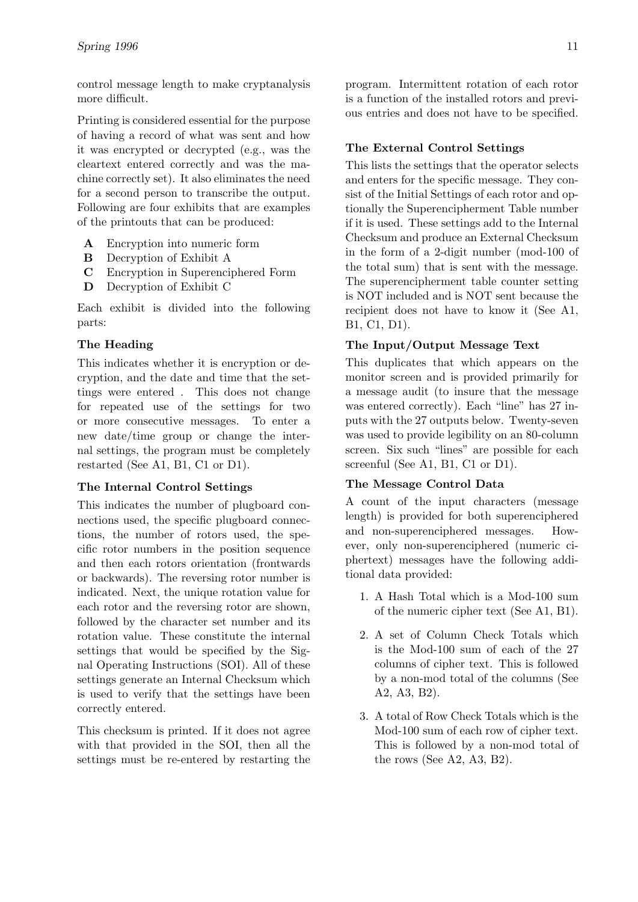control message length to make cryptanalysis more difficult.

Printing is considered essential for the purpose of having a record of what was sent and how it was encrypted or decrypted (e.g., was the cleartext entered correctly and was the machine correctly set). It also eliminates the need for a second person to transcribe the output. Following are four exhibits that are examples of the printouts that can be produced:

- **A** Encryption into numeric form
- **B** Decryption of Exhibit A
- **C** Encryption in Superenciphered Form
- **D** Decryption of Exhibit C

Each exhibit is divided into the following parts:

# **The Heading**

This indicates whether it is encryption or decryption, and the date and time that the settings were entered . This does not change for repeated use of the settings for two or more consecutive messages. To enter a new date/time group or change the internal settings, the program must be completely restarted (See A1, B1, C1 or D1).

## **The Internal Control Settings**

This indicates the number of plugboard connections used, the specific plugboard connections, the number of rotors used, the specific rotor numbers in the position sequence and then each rotors orientation (frontwards or backwards). The reversing rotor number is indicated. Next, the unique rotation value for each rotor and the reversing rotor are shown, followed by the character set number and its rotation value. These constitute the internal settings that would be specified by the Signal Operating Instructions (SOI). All of these settings generate an Internal Checksum which is used to verify that the settings have been correctly entered.

This checksum is printed. If it does not agree with that provided in the SOI, then all the settings must be re-entered by restarting the program. Intermittent rotation of each rotor is a function of the installed rotors and previous entries and does not have to be specified.

# **The External Control Settings**

This lists the settings that the operator selects and enters for the specific message. They consist of the Initial Settings of each rotor and optionally the Superencipherment Table number if it is used. These settings add to the Internal Checksum and produce an External Checksum in the form of a 2-digit number (mod-100 of the total sum) that is sent with the message. The superencipherment table counter setting is NOT included and is NOT sent because the recipient does not have to know it (See A1, B1, C1, D1).

# **The Input/Output Message Text**

This duplicates that which appears on the monitor screen and is provided primarily for a message audit (to insure that the message was entered correctly). Each "line" has 27 inputs with the 27 outputs below. Twenty-seven was used to provide legibility on an 80-column screen. Six such "lines" are possible for each screenful (See A1, B1, C1 or D1).

# **The Message Control Data**

A count of the input characters (message length) is provided for both superenciphered and non-superenciphered messages. However, only non-superenciphered (numeric ciphertext) messages have the following additional data provided:

- 1. A Hash Total which is a Mod-100 sum of the numeric cipher text (See A1, B1).
- 2. A set of Column Check Totals which is the Mod-100 sum of each of the 27 columns of cipher text. This is followed by a non-mod total of the columns (See A2, A3, B2).
- 3. A total of Row Check Totals which is the Mod-100 sum of each row of cipher text. This is followed by a non-mod total of the rows (See A2, A3, B2).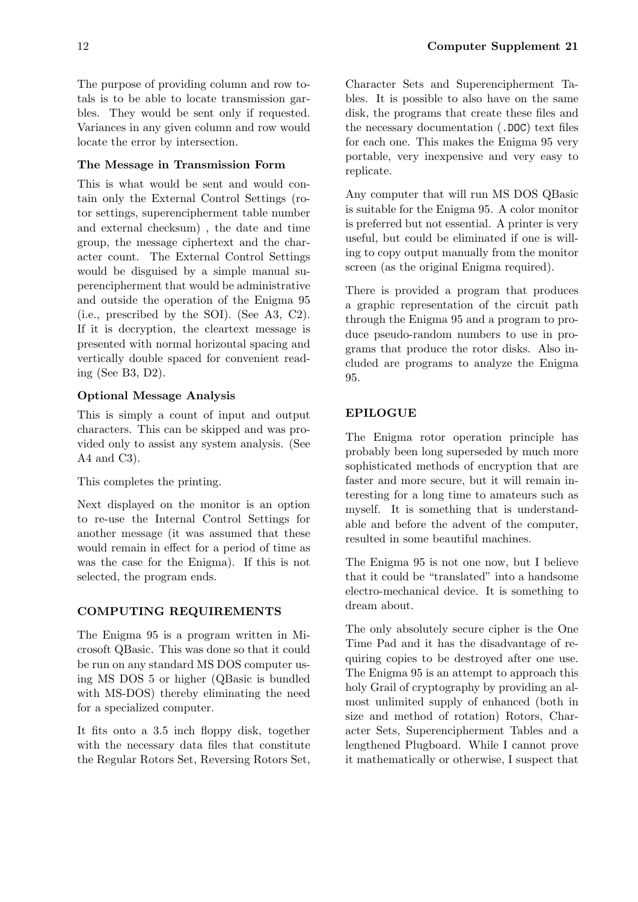The purpose of providing column and row totals is to be able to locate transmission garbles. They would be sent only if requested. Variances in any given column and row would locate the error by intersection.

# **The Message in Transmission Form**

This is what would be sent and would contain only the External Control Settings (rotor settings, superencipherment table number and external checksum) , the date and time group, the message ciphertext and the character count. The External Control Settings would be disguised by a simple manual superencipherment that would be administrative and outside the operation of the Enigma 95 (i.e., prescribed by the SOI). (See A3, C2). If it is decryption, the cleartext message is presented with normal horizontal spacing and vertically double spaced for convenient reading (See B3, D2).

# **Optional Message Analysis**

This is simply a count of input and output characters. This can be skipped and was provided only to assist any system analysis. (See A4 and C3).

This completes the printing.

Next displayed on the monitor is an option to re-use the Internal Control Settings for another message (it was assumed that these would remain in effect for a period of time as was the case for the Enigma). If this is not selected, the program ends.

# **COMPUTING REQUIREMENTS**

The Enigma 95 is a program written in Microsoft QBasic. This was done so that it could be run on any standard MS DOS computer using MS DOS 5 or higher (QBasic is bundled with MS-DOS) thereby eliminating the need for a specialized computer.

It fits onto a 3.5 inch floppy disk, together with the necessary data files that constitute the Regular Rotors Set, Reversing Rotors Set, Character Sets and Superencipherment Tables. It is possible to also have on the same disk, the programs that create these files and the necessary documentation (.DOC) text files for each one. This makes the Enigma 95 very portable, very inexpensive and very easy to replicate.

Any computer that will run MS DOS QBasic is suitable for the Enigma 95. A color monitor is preferred but not essential. A printer is very useful, but could be eliminated if one is willing to copy output manually from the monitor screen (as the original Enigma required).

There is provided a program that produces a graphic representation of the circuit path through the Enigma 95 and a program to produce pseudo-random numbers to use in programs that produce the rotor disks. Also included are programs to analyze the Enigma 95.

# **EPILOGUE**

The Enigma rotor operation principle has probably been long superseded by much more sophisticated methods of encryption that are faster and more secure, but it will remain interesting for a long time to amateurs such as myself. It is something that is understandable and before the advent of the computer, resulted in some beautiful machines.

The Enigma 95 is not one now, but I believe that it could be "translated" into a handsome electro-mechanical device. It is something to dream about.

The only absolutely secure cipher is the One Time Pad and it has the disadvantage of requiring copies to be destroyed after one use. The Enigma 95 is an attempt to approach this holy Grail of cryptography by providing an almost unlimited supply of enhanced (both in size and method of rotation) Rotors, Character Sets, Superencipherment Tables and a lengthened Plugboard. While I cannot prove it mathematically or otherwise, I suspect that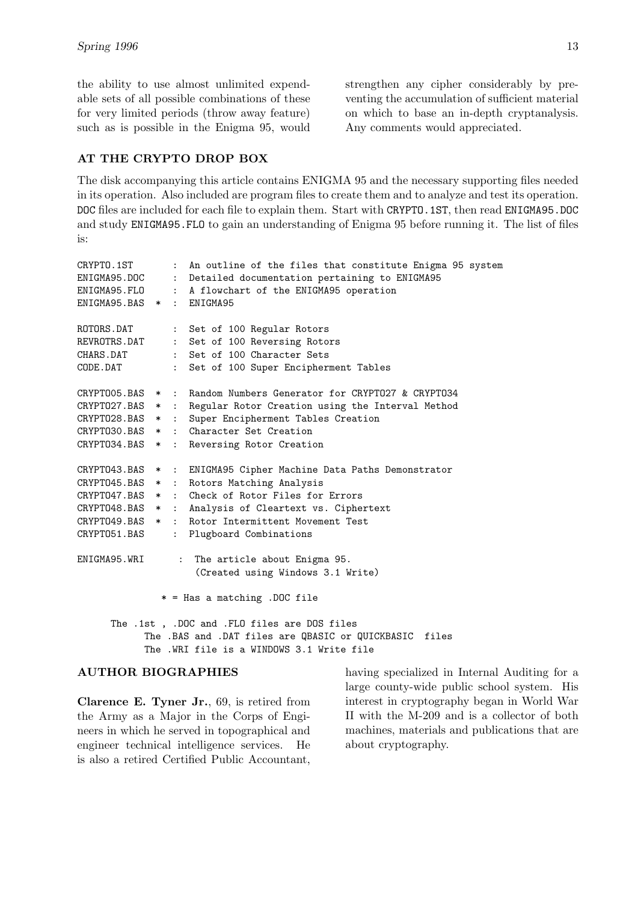the ability to use almost unlimited expendable sets of all possible combinations of these for very limited periods (throw away feature) such as is possible in the Enigma 95, would strengthen any cipher considerably by preventing the accumulation of sufficient material on which to base an in-depth cryptanalysis. Any comments would appreciated.

# **AT THE CRYPTO DROP BOX**

The disk accompanying this article contains ENIGMA 95 and the necessary supporting files needed in its operation. Also included are program files to create them and to analyze and test its operation. DOC files are included for each file to explain them. Start with CRYPTO.1ST, then read ENIGMA95.DOC and study ENIGMA95.FLO to gain an understanding of Enigma 95 before running it. The list of files is:

```
CRYPTO.1ST : An outline of the files that constitute Enigma 95 system
ENIGMA95.DOC : Detailed documentation pertaining to ENIGMA95
ENIGMA95.FLO : A flowchart of the ENIGMA95 operation
ENIGMA95.BAS * : ENIGMA95
ROTORS.DAT : Set of 100 Regular Rotors
REVROTRS.DAT : Set of 100 Reversing Rotors
CHARS.DAT : Set of 100 Character Sets
CODE.DAT : Set of 100 Super Encipherment Tables
CRYPTO05.BAS * : Random Numbers Generator for CRYPTO27 & CRYPTO34
CRYPTO27.BAS * : Regular Rotor Creation using the Interval Method
CRYPTO28.BAS * : Super Encipherment Tables Creation
CRYPTO30.BAS * : Character Set Creation
CRYPTO34.BAS * : Reversing Rotor Creation
CRYPTO43.BAS * : ENIGMA95 Cipher Machine Data Paths Demonstrator
CRYPTO45.BAS * : Rotors Matching Analysis
CRYPTO47.BAS * : Check of Rotor Files for Errors
CRYPTO48.BAS * : Analysis of Cleartext vs. Ciphertext
CRYPTO49.BAS * : Rotor Intermittent Movement Test
CRYPTO51.BAS : Plugboard Combinations
ENIGMA95.WRI : The article about Enigma 95.
                    (Created using Windows 3.1 Write)
              * = Has a matching .DOC file
     The .1st , .DOC and .FLO files are DOS files
           The .BAS and .DAT files are QBASIC or QUICKBASIC files
           The .WRI file is a WINDOWS 3.1 Write file
```
### **AUTHOR BIOGRAPHIES**

**Clarence E. Tyner Jr.**, 69, is retired from the Army as a Major in the Corps of Engineers in which he served in topographical and engineer technical intelligence services. He is also a retired Certified Public Accountant,

having specialized in Internal Auditing for a large county-wide public school system. His interest in cryptography began in World War II with the M-209 and is a collector of both machines, materials and publications that are about cryptography.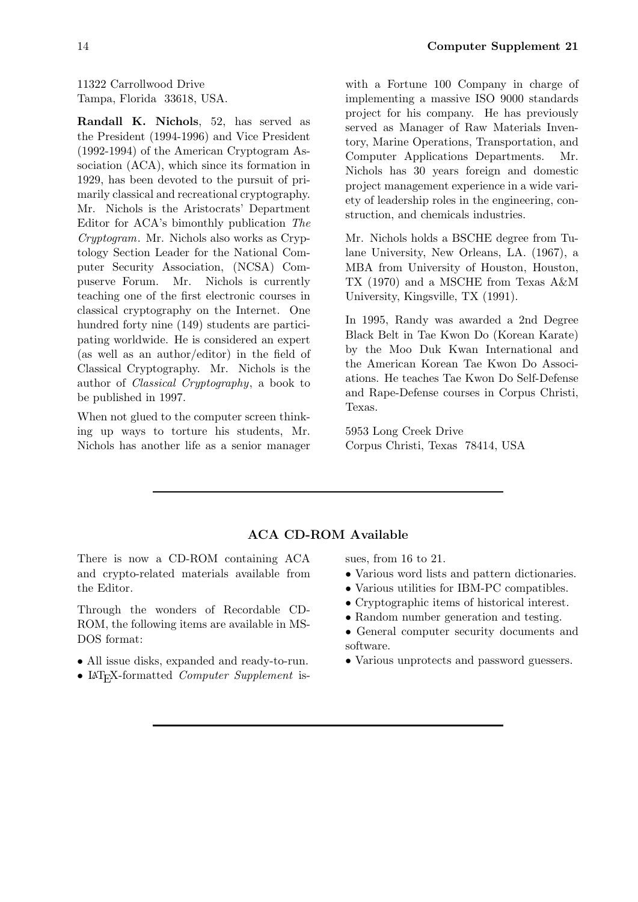11322 Carrollwood Drive Tampa, Florida 33618, USA.

**Randall K. Nichols**, 52, has served as the President (1994-1996) and Vice President (1992-1994) of the American Cryptogram Association (ACA), which since its formation in 1929, has been devoted to the pursuit of primarily classical and recreational cryptography. Mr. Nichols is the Aristocrats' Department Editor for ACA's bimonthly publication *The Cryptogram*. Mr. Nichols also works as Cryptology Section Leader for the National Computer Security Association, (NCSA) Compuserve Forum. Mr. Nichols is currently teaching one of the first electronic courses in classical cryptography on the Internet. One hundred forty nine (149) students are participating worldwide. He is considered an expert (as well as an author/editor) in the field of Classical Cryptography. Mr. Nichols is the author of *Classical Cryptography*, a book to be published in 1997.

When not glued to the computer screen thinking up ways to torture his students, Mr. Nichols has another life as a senior manager with a Fortune 100 Company in charge of implementing a massive ISO 9000 standards project for his company. He has previously served as Manager of Raw Materials Inventory, Marine Operations, Transportation, and Computer Applications Departments. Mr. Nichols has 30 years foreign and domestic project management experience in a wide variety of leadership roles in the engineering, construction, and chemicals industries.

Mr. Nichols holds a BSCHE degree from Tulane University, New Orleans, LA. (1967), a MBA from University of Houston, Houston, TX (1970) and a MSCHE from Texas A&M University, Kingsville, TX (1991).

In 1995, Randy was awarded a 2nd Degree Black Belt in Tae Kwon Do (Korean Karate) by the Moo Duk Kwan International and the American Korean Tae Kwon Do Associations. He teaches Tae Kwon Do Self-Defense and Rape-Defense courses in Corpus Christi, Texas.

5953 Long Creek Drive Corpus Christi, Texas 78414, USA

# **ACA CD-ROM Available**

There is now a CD-ROM containing ACA and crypto-related materials available from the Editor.

Through the wonders of Recordable CD-ROM, the following items are available in MS-DOS format:

- *•* All issue disks, expanded and ready-to-run.
- LAT<sub>E</sub>X-formatted *Computer Supplement* is-

sues, from 16 to 21.

- Various word lists and pattern dictionaries.
- Various utilities for IBM-PC compatibles.
- *•* Cryptographic items of historical interest.
- *•* Random number generation and testing.
- *•* General computer security documents and software.
- *•* Various unprotects and password guessers.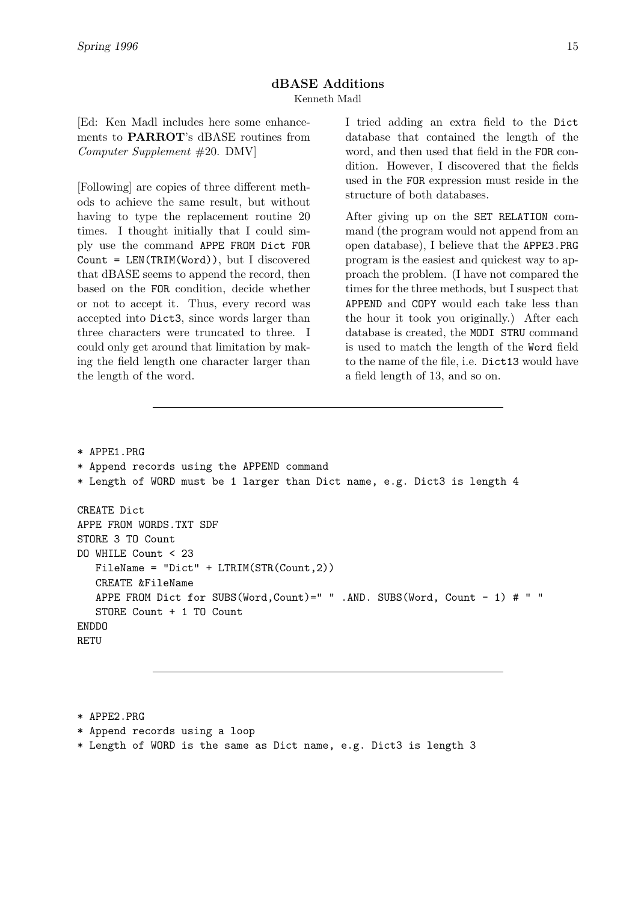[Ed: Ken Madl includes here some enhancements to **PARROT**'s dBASE routines from *Computer Supplement* #20. DMV]

[Following] are copies of three different methods to achieve the same result, but without having to type the replacement routine 20 times. I thought initially that I could simply use the command APPE FROM Dict FOR Count =  $LEN(TRIM(Word))$ , but I discovered that dBASE seems to append the record, then based on the FOR condition, decide whether or not to accept it. Thus, every record was accepted into Dict3, since words larger than three characters were truncated to three. I could only get around that limitation by making the field length one character larger than the length of the word.

I tried adding an extra field to the Dict database that contained the length of the word, and then used that field in the FOR condition. However, I discovered that the fields used in the FOR expression must reside in the structure of both databases.

After giving up on the SET RELATION command (the program would not append from an open database), I believe that the APPE3.PRG program is the easiest and quickest way to approach the problem. (I have not compared the times for the three methods, but I suspect that APPEND and COPY would each take less than the hour it took you originally.) After each database is created, the MODI STRU command is used to match the length of the Word field to the name of the file, i.e. Dict13 would have a field length of 13, and so on.

```
* APPE1.PRG
* Append records using the APPEND command
* Length of WORD must be 1 larger than Dict name, e.g. Dict3 is length 4
CREATE Dict
APPE FROM WORDS.TXT SDF
STORE 3 TO Count
DO WHILE Count < 23
   FileName = "Dict" + LTRIM(STR(Count,2))
   CREATE &FileName
   APPE FROM Dict for SUBS(Word,Count)=" " .AND. SUBS(Word, Count - 1) # " "
   STORE Count + 1 TO Count
ENDDO
RETU
```
\* APPE2.PRG

- \* Append records using a loop
- \* Length of WORD is the same as Dict name, e.g. Dict3 is length 3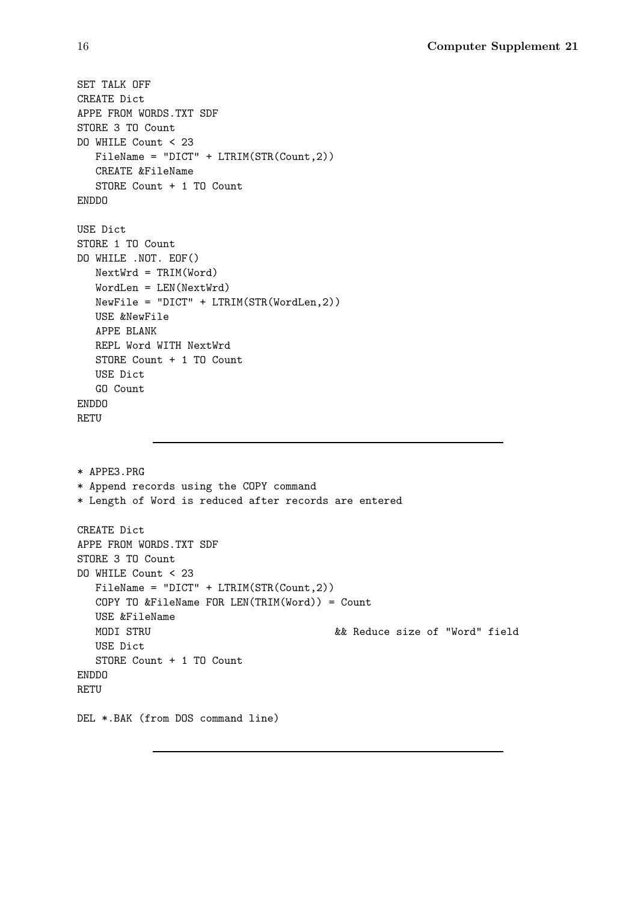```
SET TALK OFF
CREATE Dict
APPE FROM WORDS.TXT SDF
STORE 3 TO Count
DO WHILE Count < 23
  FileName = "DICT" + LTRIM(STR(Count,2))
  CREATE &FileName
  STORE Count + 1 TO Count
ENDDO
USE Dict
STORE 1 TO Count
DO WHILE .NOT. EOF()
  NextWrd = TRIM(Word)
  WordLen = LEN(NextWrd)
  NewFile = "DICT" + LTRIM(STR(WordLen,2))
  USE &NewFile
  APPE BLANK
  REPL Word WITH NextWrd
  STORE Count + 1 TO Count
  USE Dict
  GO Count
ENDDO
RETU
* APPE3.PRG
* Append records using the COPY command
* Length of Word is reduced after records are entered
CREATE Dict
APPE FROM WORDS.TXT SDF
STORE 3 TO Count
DO WHILE Count < 23
  FileName = "DICT" + LTRIM(STR(Count,2))
  COPY TO &FileName FOR LEN(TRIM(Word)) = Count
  USE &FileName
  MODI STRU && Reduce size of "Word" field
  USE Dict
  STORE Count + 1 TO Count
ENDDO
RETU
DEL *.BAK (from DOS command line)
```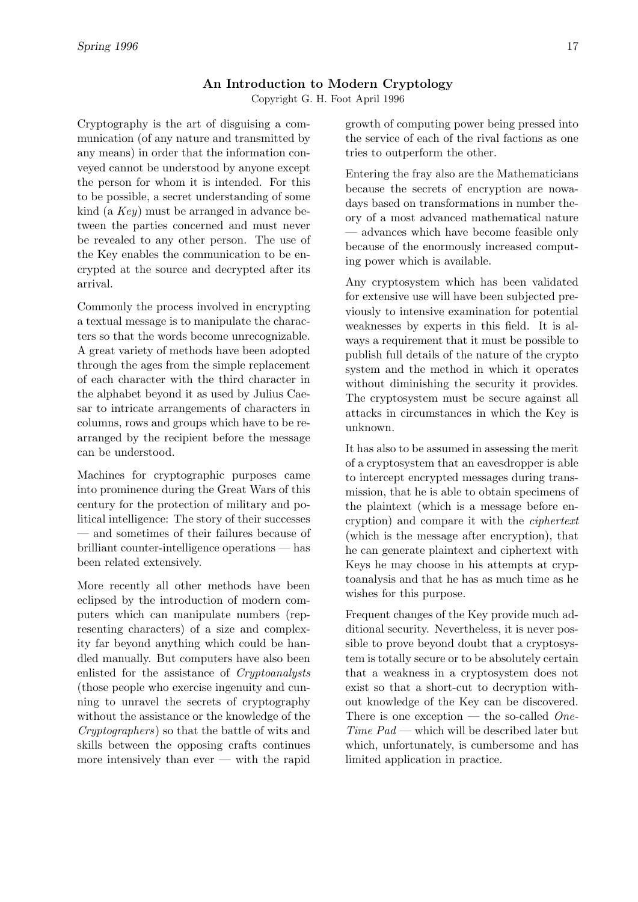# **An Introduction to Modern Cryptology**

Copyright G. H. Foot April 1996

Cryptography is the art of disguising a communication (of any nature and transmitted by any means) in order that the information conveyed cannot be understood by anyone except the person for whom it is intended. For this to be possible, a secret understanding of some kind (a *Key*) must be arranged in advance between the parties concerned and must never be revealed to any other person. The use of the Key enables the communication to be encrypted at the source and decrypted after its arrival.

Commonly the process involved in encrypting a textual message is to manipulate the characters so that the words become unrecognizable. A great variety of methods have been adopted through the ages from the simple replacement of each character with the third character in the alphabet beyond it as used by Julius Caesar to intricate arrangements of characters in columns, rows and groups which have to be rearranged by the recipient before the message can be understood.

Machines for cryptographic purposes came into prominence during the Great Wars of this century for the protection of military and political intelligence: The story of their successes — and sometimes of their failures because of brilliant counter-intelligence operations — has been related extensively.

More recently all other methods have been eclipsed by the introduction of modern computers which can manipulate numbers (representing characters) of a size and complexity far beyond anything which could be handled manually. But computers have also been enlisted for the assistance of *Cryptoanalysts* (those people who exercise ingenuity and cunning to unravel the secrets of cryptography without the assistance or the knowledge of the *Cryptographers*) so that the battle of wits and skills between the opposing crafts continues more intensively than ever  $-$  with the rapid growth of computing power being pressed into the service of each of the rival factions as one tries to outperform the other.

Entering the fray also are the Mathematicians because the secrets of encryption are nowadays based on transformations in number theory of a most advanced mathematical nature — advances which have become feasible only because of the enormously increased computing power which is available.

Any cryptosystem which has been validated for extensive use will have been subjected previously to intensive examination for potential weaknesses by experts in this field. It is always a requirement that it must be possible to publish full details of the nature of the crypto system and the method in which it operates without diminishing the security it provides. The cryptosystem must be secure against all attacks in circumstances in which the Key is unknown.

It has also to be assumed in assessing the merit of a cryptosystem that an eavesdropper is able to intercept encrypted messages during transmission, that he is able to obtain specimens of the plaintext (which is a message before encryption) and compare it with the *ciphertext* (which is the message after encryption), that he can generate plaintext and ciphertext with Keys he may choose in his attempts at cryptoanalysis and that he has as much time as he wishes for this purpose.

Frequent changes of the Key provide much additional security. Nevertheless, it is never possible to prove beyond doubt that a cryptosystem is totally secure or to be absolutely certain that a weakness in a cryptosystem does not exist so that a short-cut to decryption without knowledge of the Key can be discovered. There is one exception — the so-called *One-Time Pad* — which will be described later but which, unfortunately, is cumbersome and has limited application in practice.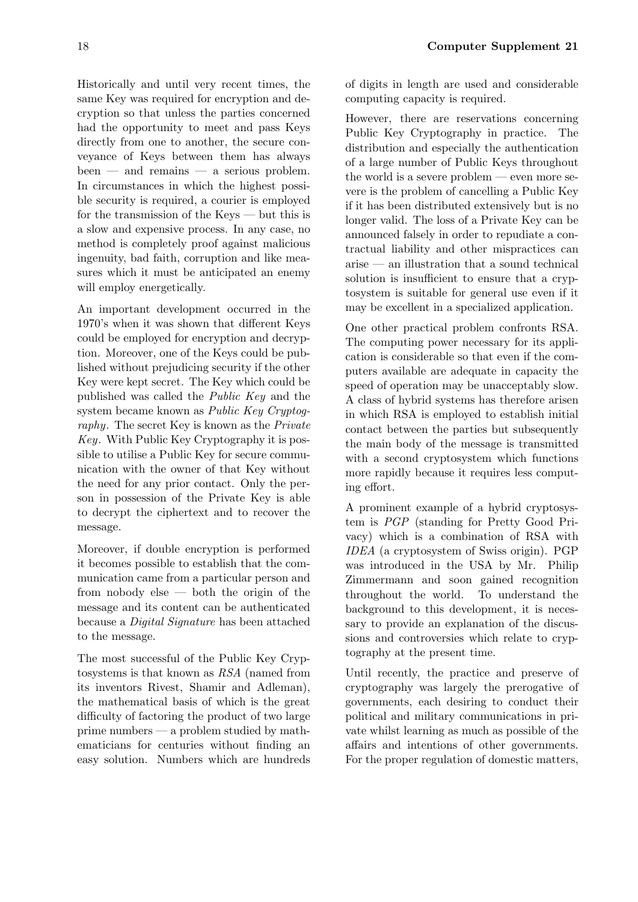Historically and until very recent times, the same Key was required for encryption and decryption so that unless the parties concerned had the opportunity to meet and pass Keys directly from one to another, the secure conveyance of Keys between them has always been — and remains — a serious problem. In circumstances in which the highest possible security is required, a courier is employed for the transmission of the Keys — but this is a slow and expensive process. In any case, no method is completely proof against malicious ingenuity, bad faith, corruption and like measures which it must be anticipated an enemy will employ energetically.

An important development occurred in the 1970's when it was shown that different Keys could be employed for encryption and decryption. Moreover, one of the Keys could be published without prejudicing security if the other Key were kept secret. The Key which could be published was called the *Public Key* and the system became known as *Public Key Cryptography*. The secret Key is known as the *Private Key*. With Public Key Cryptography it is possible to utilise a Public Key for secure communication with the owner of that Key without the need for any prior contact. Only the person in possession of the Private Key is able to decrypt the ciphertext and to recover the message.

Moreover, if double encryption is performed it becomes possible to establish that the communication came from a particular person and from nobody else — both the origin of the message and its content can be authenticated because a *Digital Signature* has been attached to the message.

The most successful of the Public Key Cryptosystems is that known as *RSA* (named from its inventors Rivest, Shamir and Adleman), the mathematical basis of which is the great difficulty of factoring the product of two large prime numbers — a problem studied by mathematicians for centuries without finding an easy solution. Numbers which are hundreds of digits in length are used and considerable computing capacity is required.

However, there are reservations concerning Public Key Cryptography in practice. The distribution and especially the authentication of a large number of Public Keys throughout the world is a severe problem — even more severe is the problem of cancelling a Public Key if it has been distributed extensively but is no longer valid. The loss of a Private Key can be announced falsely in order to repudiate a contractual liability and other mispractices can arise — an illustration that a sound technical solution is insufficient to ensure that a cryptosystem is suitable for general use even if it may be excellent in a specialized application.

One other practical problem confronts RSA. The computing power necessary for its application is considerable so that even if the computers available are adequate in capacity the speed of operation may be unacceptably slow. A class of hybrid systems has therefore arisen in which RSA is employed to establish initial contact between the parties but subsequently the main body of the message is transmitted with a second cryptosystem which functions more rapidly because it requires less computing effort.

A prominent example of a hybrid cryptosystem is *PGP* (standing for Pretty Good Privacy) which is a combination of RSA with *IDEA* (a cryptosystem of Swiss origin). PGP was introduced in the USA by Mr. Philip Zimmermann and soon gained recognition throughout the world. To understand the background to this development, it is necessary to provide an explanation of the discussions and controversies which relate to cryptography at the present time.

Until recently, the practice and preserve of cryptography was largely the prerogative of governments, each desiring to conduct their political and military communications in private whilst learning as much as possible of the affairs and intentions of other governments. For the proper regulation of domestic matters,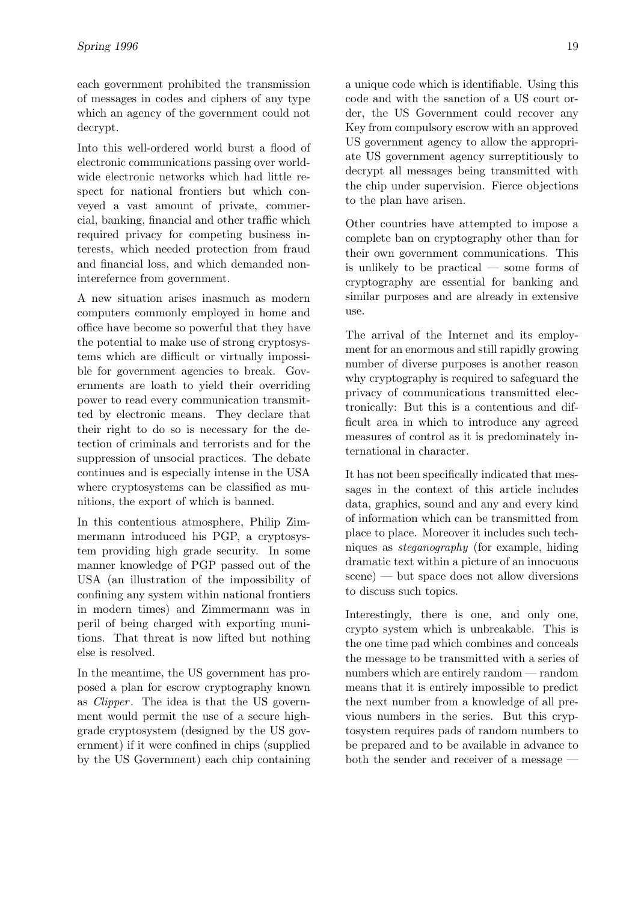each government prohibited the transmission of messages in codes and ciphers of any type which an agency of the government could not decrypt.

Into this well-ordered world burst a flood of electronic communications passing over worldwide electronic networks which had little respect for national frontiers but which conveyed a vast amount of private, commercial, banking, financial and other traffic which required privacy for competing business interests, which needed protection from fraud and financial loss, and which demanded noninterefernce from government.

A new situation arises inasmuch as modern computers commonly employed in home and office have become so powerful that they have the potential to make use of strong cryptosystems which are difficult or virtually impossible for government agencies to break. Governments are loath to yield their overriding power to read every communication transmitted by electronic means. They declare that their right to do so is necessary for the detection of criminals and terrorists and for the suppression of unsocial practices. The debate continues and is especially intense in the USA where cryptosystems can be classified as munitions, the export of which is banned.

In this contentious atmosphere, Philip Zimmermann introduced his PGP, a cryptosystem providing high grade security. In some manner knowledge of PGP passed out of the USA (an illustration of the impossibility of confining any system within national frontiers in modern times) and Zimmermann was in peril of being charged with exporting munitions. That threat is now lifted but nothing else is resolved.

In the meantime, the US government has proposed a plan for escrow cryptography known as *Clipper* . The idea is that the US government would permit the use of a secure highgrade cryptosystem (designed by the US government) if it were confined in chips (supplied by the US Government) each chip containing a unique code which is identifiable. Using this code and with the sanction of a US court order, the US Government could recover any Key from compulsory escrow with an approved US government agency to allow the appropriate US government agency surreptitiously to decrypt all messages being transmitted with the chip under supervision. Fierce objections to the plan have arisen.

Other countries have attempted to impose a complete ban on cryptography other than for their own government communications. This is unlikely to be practical — some forms of cryptography are essential for banking and similar purposes and are already in extensive use.

The arrival of the Internet and its employment for an enormous and still rapidly growing number of diverse purposes is another reason why cryptography is required to safeguard the privacy of communications transmitted electronically: But this is a contentious and difficult area in which to introduce any agreed measures of control as it is predominately international in character.

It has not been specifically indicated that messages in the context of this article includes data, graphics, sound and any and every kind of information which can be transmitted from place to place. Moreover it includes such techniques as *steganography* (for example, hiding dramatic text within a picture of an innocuous scene) — but space does not allow diversions to discuss such topics.

Interestingly, there is one, and only one, crypto system which is unbreakable. This is the one time pad which combines and conceals the message to be transmitted with a series of numbers which are entirely random — random means that it is entirely impossible to predict the next number from a knowledge of all previous numbers in the series. But this cryptosystem requires pads of random numbers to be prepared and to be available in advance to both the sender and receiver of a message —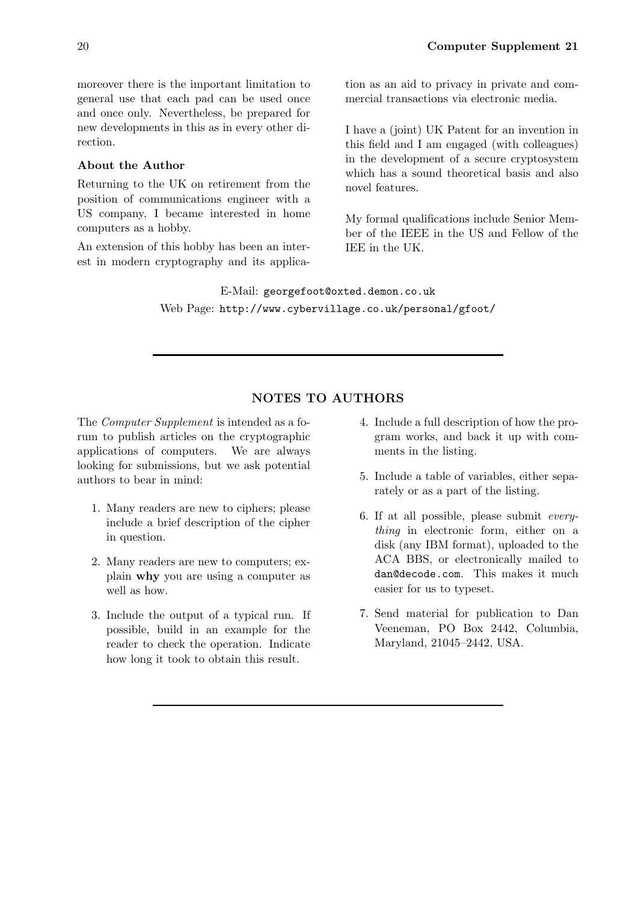moreover there is the important limitation to general use that each pad can be used once and once only. Nevertheless, be prepared for new developments in this as in every other direction.

# **About the Author**

Returning to the UK on retirement from the position of communications engineer with a US company, I became interested in home computers as a hobby.

An extension of this hobby has been an interest in modern cryptography and its application as an aid to privacy in private and commercial transactions via electronic media.

I have a (joint) UK Patent for an invention in this field and I am engaged (with colleagues) in the development of a secure cryptosystem which has a sound theoretical basis and also novel features.

My formal qualifications include Senior Member of the IEEE in the US and Fellow of the IEE in the UK.

E-Mail: georgefoot@oxted.demon.co.uk Web Page: http://www.cybervillage.co.uk/personal/gfoot/

# **NOTES TO AUTHORS**

The *Computer Supplement* is intended as a forum to publish articles on the cryptographic applications of computers. We are always looking for submissions, but we ask potential authors to bear in mind:

- 1. Many readers are new to ciphers; please include a brief description of the cipher in question.
- 2. Many readers are new to computers; explain **why** you are using a computer as well as how.
- 3. Include the output of a typical run. If possible, build in an example for the reader to check the operation. Indicate how long it took to obtain this result.
- 4. Include a full description of how the program works, and back it up with comments in the listing.
- 5. Include a table of variables, either separately or as a part of the listing.
- 6. If at all possible, please submit *everything* in electronic form, either on a disk (any IBM format), uploaded to the ACA BBS, or electronically mailed to dan@decode.com. This makes it much easier for us to typeset.
- 7. Send material for publication to Dan Veeneman, PO Box 2442, Columbia, Maryland, 21045–2442, USA.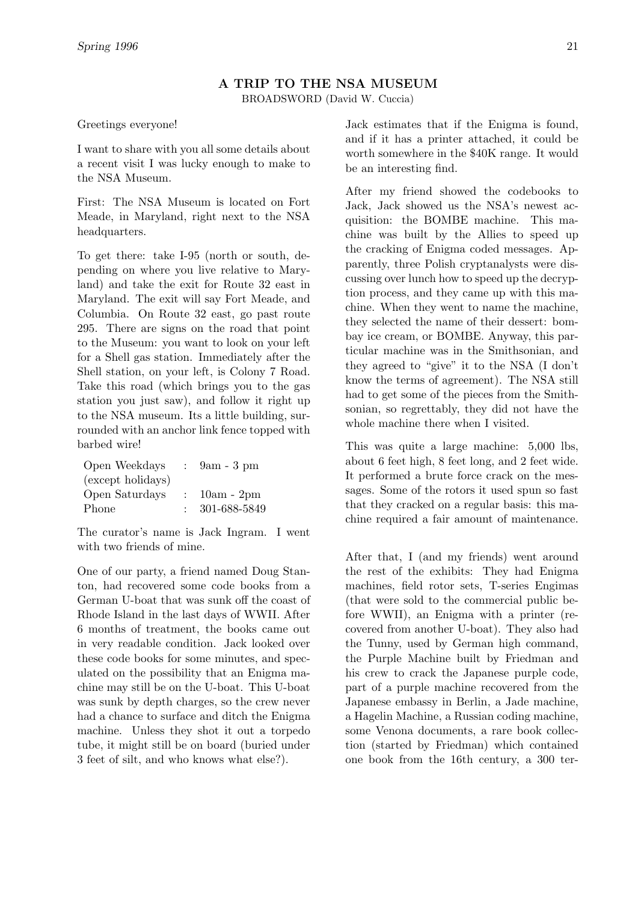**A TRIP TO THE NSA MUSEUM** BROADSWORD (David W. Cuccia)

Greetings everyone!

I want to share with you all some details about a recent visit I was lucky enough to make to the NSA Museum.

First: The NSA Museum is located on Fort Meade, in Maryland, right next to the NSA headquarters.

To get there: take I-95 (north or south, depending on where you live relative to Maryland) and take the exit for Route 32 east in Maryland. The exit will say Fort Meade, and Columbia. On Route 32 east, go past route 295. There are signs on the road that point to the Museum: you want to look on your left for a Shell gas station. Immediately after the Shell station, on your left, is Colony 7 Road. Take this road (which brings you to the gas station you just saw), and follow it right up to the NSA museum. Its a little building, surrounded with an anchor link fence topped with barbed wire!

| Open Weekdays     | $: 9am - 3pm$  |
|-------------------|----------------|
| (except holidays) |                |
| Open Saturdays    | $: 10am - 2pm$ |
| Phone             | 301-688-5849   |

The curator's name is Jack Ingram. I went with two friends of mine.

One of our party, a friend named Doug Stanton, had recovered some code books from a German U-boat that was sunk off the coast of Rhode Island in the last days of WWII. After 6 months of treatment, the books came out in very readable condition. Jack looked over these code books for some minutes, and speculated on the possibility that an Enigma machine may still be on the U-boat. This U-boat was sunk by depth charges, so the crew never had a chance to surface and ditch the Enigma machine. Unless they shot it out a torpedo tube, it might still be on board (buried under 3 feet of silt, and who knows what else?).

Jack estimates that if the Enigma is found, and if it has a printer attached, it could be worth somewhere in the \$40K range. It would be an interesting find.

After my friend showed the codebooks to Jack, Jack showed us the NSA's newest acquisition: the BOMBE machine. This machine was built by the Allies to speed up the cracking of Enigma coded messages. Apparently, three Polish cryptanalysts were discussing over lunch how to speed up the decryption process, and they came up with this machine. When they went to name the machine, they selected the name of their dessert: bombay ice cream, or BOMBE. Anyway, this particular machine was in the Smithsonian, and they agreed to "give" it to the NSA (I don't know the terms of agreement). The NSA still had to get some of the pieces from the Smithsonian, so regrettably, they did not have the whole machine there when I visited.

This was quite a large machine: 5,000 lbs, about 6 feet high, 8 feet long, and 2 feet wide. It performed a brute force crack on the messages. Some of the rotors it used spun so fast that they cracked on a regular basis: this machine required a fair amount of maintenance.

After that, I (and my friends) went around the rest of the exhibits: They had Enigma machines, field rotor sets, T-series Engimas (that were sold to the commercial public before WWII), an Enigma with a printer (recovered from another U-boat). They also had the Tunny, used by German high command, the Purple Machine built by Friedman and his crew to crack the Japanese purple code, part of a purple machine recovered from the Japanese embassy in Berlin, a Jade machine, a Hagelin Machine, a Russian coding machine, some Venona documents, a rare book collection (started by Friedman) which contained one book from the 16th century, a 300 ter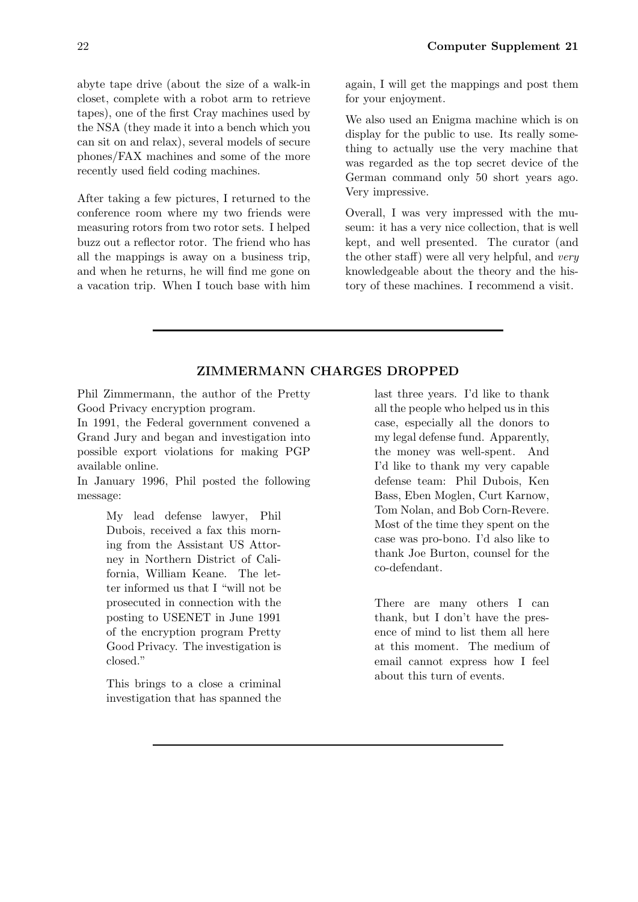abyte tape drive (about the size of a walk-in closet, complete with a robot arm to retrieve tapes), one of the first Cray machines used by the NSA (they made it into a bench which you can sit on and relax), several models of secure phones/FAX machines and some of the more recently used field coding machines.

After taking a few pictures, I returned to the conference room where my two friends were measuring rotors from two rotor sets. I helped buzz out a reflector rotor. The friend who has all the mappings is away on a business trip, and when he returns, he will find me gone on a vacation trip. When I touch base with him again, I will get the mappings and post them for your enjoyment.

We also used an Enigma machine which is on display for the public to use. Its really something to actually use the very machine that was regarded as the top secret device of the German command only 50 short years ago. Very impressive.

Overall, I was very impressed with the museum: it has a very nice collection, that is well kept, and well presented. The curator (and the other staff) were all very helpful, and *very* knowledgeable about the theory and the history of these machines. I recommend a visit.

# **ZIMMERMANN CHARGES DROPPED**

Phil Zimmermann, the author of the Pretty Good Privacy encryption program.

In 1991, the Federal government convened a Grand Jury and began and investigation into possible export violations for making PGP available online.

In January 1996, Phil posted the following message:

> My lead defense lawyer, Phil Dubois, received a fax this morning from the Assistant US Attorney in Northern District of California, William Keane. The letter informed us that I "will not be prosecuted in connection with the posting to USENET in June 1991 of the encryption program Pretty Good Privacy. The investigation is closed."

This brings to a close a criminal investigation that has spanned the

last three years. I'd like to thank all the people who helped us in this case, especially all the donors to my legal defense fund. Apparently, the money was well-spent. And I'd like to thank my very capable defense team: Phil Dubois, Ken Bass, Eben Moglen, Curt Karnow, Tom Nolan, and Bob Corn-Revere. Most of the time they spent on the case was pro-bono. I'd also like to thank Joe Burton, counsel for the co-defendant.

There are many others I can thank, but I don't have the presence of mind to list them all here at this moment. The medium of email cannot express how I feel about this turn of events.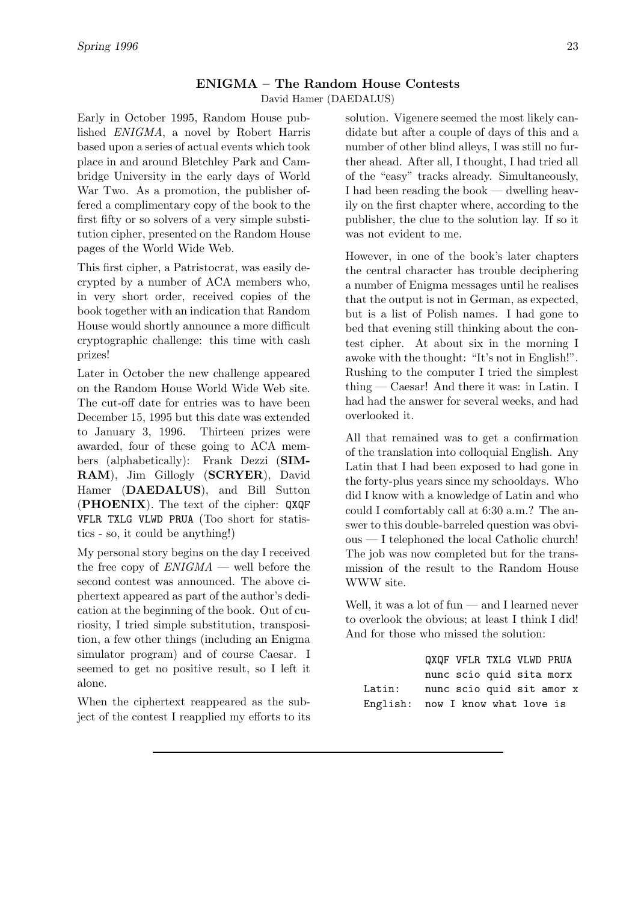# **ENIGMA – The Random House Contests**

David Hamer (DAEDALUS)

Early in October 1995, Random House published *ENIGMA*, a novel by Robert Harris based upon a series of actual events which took place in and around Bletchley Park and Cambridge University in the early days of World War Two. As a promotion, the publisher offered a complimentary copy of the book to the first fifty or so solvers of a very simple substitution cipher, presented on the Random House pages of the World Wide Web.

This first cipher, a Patristocrat, was easily decrypted by a number of ACA members who, in very short order, received copies of the book together with an indication that Random House would shortly announce a more difficult cryptographic challenge: this time with cash prizes!

Later in October the new challenge appeared on the Random House World Wide Web site. The cut-off date for entries was to have been December 15, 1995 but this date was extended to January 3, 1996. Thirteen prizes were awarded, four of these going to ACA members (alphabetically): Frank Dezzi (**SIM-RAM**), Jim Gillogly (**SCRYER**), David Hamer (**DAEDALUS**), and Bill Sutton (**PHOENIX**). The text of the cipher: QXQF VFLR TXLG VLWD PRUA (Too short for statistics - so, it could be anything!)

My personal story begins on the day I received the free copy of *ENIGMA* — well before the second contest was announced. The above ciphertext appeared as part of the author's dedication at the beginning of the book. Out of curiosity, I tried simple substitution, transposition, a few other things (including an Enigma simulator program) and of course Caesar. I seemed to get no positive result, so I left it alone.

When the ciphertext reappeared as the subject of the contest I reapplied my efforts to its solution. Vigenere seemed the most likely candidate but after a couple of days of this and a number of other blind alleys, I was still no further ahead. After all, I thought, I had tried all of the "easy" tracks already. Simultaneously, I had been reading the book — dwelling heavily on the first chapter where, according to the publisher, the clue to the solution lay. If so it was not evident to me.

However, in one of the book's later chapters the central character has trouble deciphering a number of Enigma messages until he realises that the output is not in German, as expected, but is a list of Polish names. I had gone to bed that evening still thinking about the contest cipher. At about six in the morning I awoke with the thought: "It's not in English!". Rushing to the computer I tried the simplest thing — Caesar! And there it was: in Latin. I had had the answer for several weeks, and had overlooked it.

All that remained was to get a confirmation of the translation into colloquial English. Any Latin that I had been exposed to had gone in the forty-plus years since my schooldays. Who did I know with a knowledge of Latin and who could I comfortably call at 6:30 a.m.? The answer to this double-barreled question was obvious — I telephoned the local Catholic church! The job was now completed but for the transmission of the result to the Random House WWW site.

Well, it was a lot of fun — and I learned never to overlook the obvious; at least I think I did! And for those who missed the solution:

|                                  |  | OXOF VFLR TXLG VLWD PRUA  |  |  |
|----------------------------------|--|---------------------------|--|--|
|                                  |  | nunc scio quid sita morx  |  |  |
| Latin:                           |  | nunc scio quid sit amor x |  |  |
| English: now I know what love is |  |                           |  |  |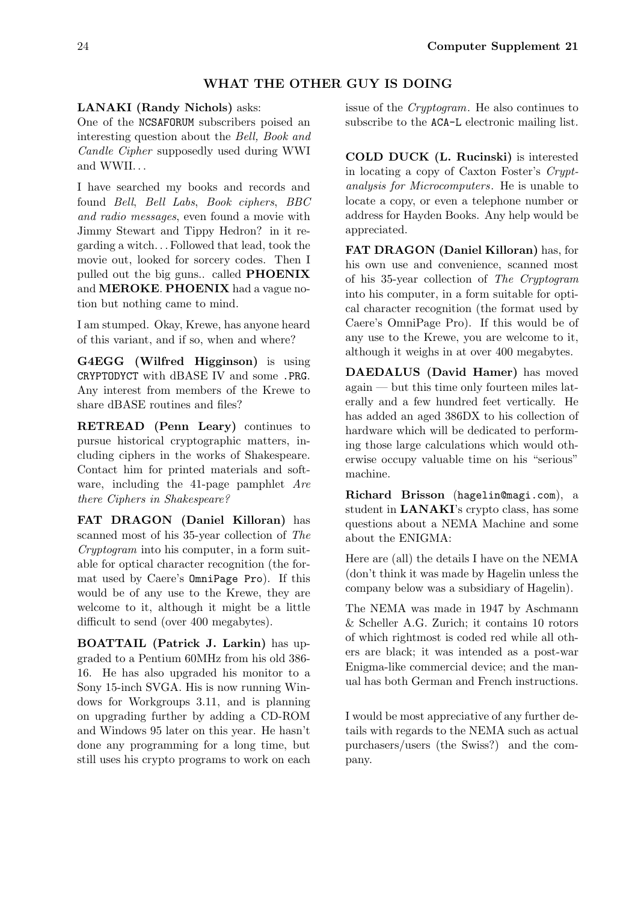### **WHAT THE OTHER GUY IS DOING**

### **LANAKI (Randy Nichols)** asks:

One of the NCSAFORUM subscribers poised an interesting question about the *Bell, Book and Candle Cipher* supposedly used during WWI and WWII. . .

I have searched my books and records and found *Bell*, *Bell Labs*, *Book ciphers*, *BBC and radio messages*, even found a movie with Jimmy Stewart and Tippy Hedron? in it regarding a witch. . . Followed that lead, took the movie out, looked for sorcery codes. Then I pulled out the big guns.. called **PHOENIX** and **MEROKE**. **PHOENIX** had a vague notion but nothing came to mind.

I am stumped. Okay, Krewe, has anyone heard of this variant, and if so, when and where?

**G4EGG (Wilfred Higginson)** is using CRYPTODYCT with dBASE IV and some .PRG. Any interest from members of the Krewe to share dBASE routines and files?

**RETREAD (Penn Leary)** continues to pursue historical cryptographic matters, including ciphers in the works of Shakespeare. Contact him for printed materials and software, including the 41-page pamphlet *Are there Ciphers in Shakespeare?*

**FAT DRAGON (Daniel Killoran)** has scanned most of his 35-year collection of *The Cryptogram* into his computer, in a form suitable for optical character recognition (the format used by Caere's OmniPage Pro). If this would be of any use to the Krewe, they are welcome to it, although it might be a little difficult to send (over 400 megabytes).

**BOATTAIL (Patrick J. Larkin)** has upgraded to a Pentium 60MHz from his old 386- 16. He has also upgraded his monitor to a Sony 15-inch SVGA. His is now running Windows for Workgroups 3.11, and is planning on upgrading further by adding a CD-ROM and Windows 95 later on this year. He hasn't done any programming for a long time, but still uses his crypto programs to work on each issue of the *Cryptogram*. He also continues to subscribe to the ACA-L electronic mailing list.

**COLD DUCK (L. Rucinski)** is interested in locating a copy of Caxton Foster's *Cryptanalysis for Microcomputers*. He is unable to locate a copy, or even a telephone number or address for Hayden Books. Any help would be appreciated.

**FAT DRAGON (Daniel Killoran)** has, for his own use and convenience, scanned most of his 35-year collection of *The Cryptogram* into his computer, in a form suitable for optical character recognition (the format used by Caere's OmniPage Pro). If this would be of any use to the Krewe, you are welcome to it, although it weighs in at over 400 megabytes.

**DAEDALUS (David Hamer)** has moved again — but this time only fourteen miles laterally and a few hundred feet vertically. He has added an aged 386DX to his collection of hardware which will be dedicated to performing those large calculations which would otherwise occupy valuable time on his "serious" machine.

**Richard Brisson** (hagelin@magi.com), a student in **LANAKI**'s crypto class, has some questions about a NEMA Machine and some about the ENIGMA:

Here are (all) the details I have on the NEMA (don't think it was made by Hagelin unless the company below was a subsidiary of Hagelin).

The NEMA was made in 1947 by Aschmann & Scheller A.G. Zurich; it contains 10 rotors of which rightmost is coded red while all others are black; it was intended as a post-war Enigma-like commercial device; and the manual has both German and French instructions.

I would be most appreciative of any further details with regards to the NEMA such as actual purchasers/users (the Swiss?) and the company.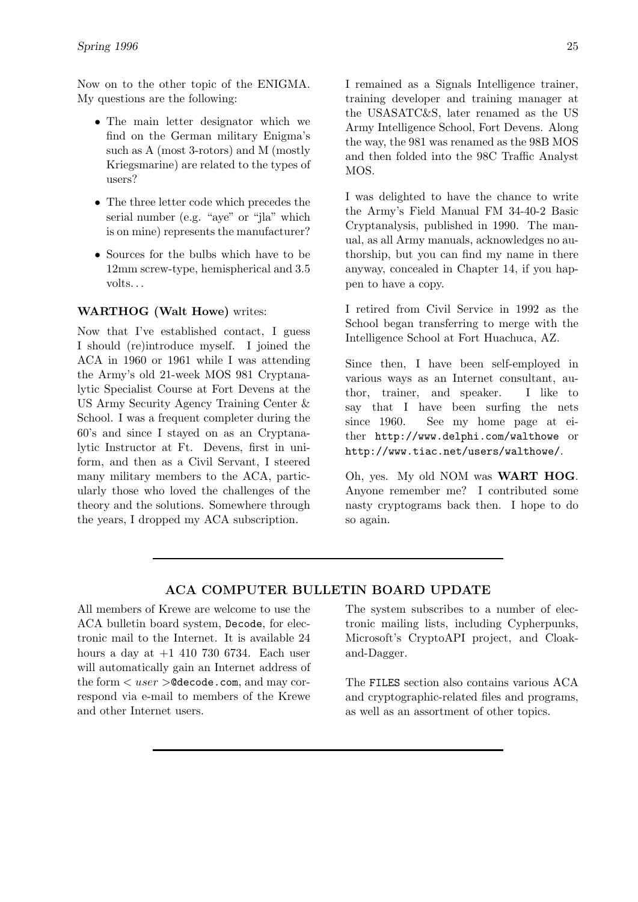Now on to the other topic of the ENIGMA. My questions are the following:

- *•* The main letter designator which we find on the German military Enigma's such as A (most 3-rotors) and M (mostly Kriegsmarine) are related to the types of users?
- *•* The three letter code which precedes the serial number (e.g. "aye" or "jla" which is on mine) represents the manufacturer?
- *•* Sources for the bulbs which have to be 12mm screw-type, hemispherical and 3.5 volts. . .

# **WARTHOG (Walt Howe)** writes:

Now that I've established contact, I guess I should (re)introduce myself. I joined the ACA in 1960 or 1961 while I was attending the Army's old 21-week MOS 981 Cryptanalytic Specialist Course at Fort Devens at the US Army Security Agency Training Center & School. I was a frequent completer during the 60's and since I stayed on as an Cryptanalytic Instructor at Ft. Devens, first in uniform, and then as a Civil Servant, I steered many military members to the ACA, particularly those who loved the challenges of the theory and the solutions. Somewhere through the years, I dropped my ACA subscription.

I remained as a Signals Intelligence trainer, training developer and training manager at the USASATC&S, later renamed as the US Army Intelligence School, Fort Devens. Along the way, the 981 was renamed as the 98B MOS and then folded into the 98C Traffic Analyst MOS.

I was delighted to have the chance to write the Army's Field Manual FM 34-40-2 Basic Cryptanalysis, published in 1990. The manual, as all Army manuals, acknowledges no authorship, but you can find my name in there anyway, concealed in Chapter 14, if you happen to have a copy.

I retired from Civil Service in 1992 as the School began transferring to merge with the Intelligence School at Fort Huachuca, AZ.

Since then, I have been self-employed in various ways as an Internet consultant, author, trainer, and speaker. I like to say that I have been surfing the nets since 1960. See my home page at either http://www.delphi.com/walthowe or http://www.tiac.net/users/walthowe/.

Oh, yes. My old NOM was **WART HOG**. Anyone remember me? I contributed some nasty cryptograms back then. I hope to do so again.

# **ACA COMPUTER BULLETIN BOARD UPDATE**

All members of Krewe are welcome to use the ACA bulletin board system, Decode, for electronic mail to the Internet. It is available 24 hours a day at  $+1$  410 730 6734. Each user will automatically gain an Internet address of the form  $\langle$  user  $\rangle$ **@decode.com**, and may correspond via e-mail to members of the Krewe and other Internet users.

The system subscribes to a number of electronic mailing lists, including Cypherpunks, Microsoft's CryptoAPI project, and Cloakand-Dagger.

The FILES section also contains various ACA and cryptographic-related files and programs, as well as an assortment of other topics.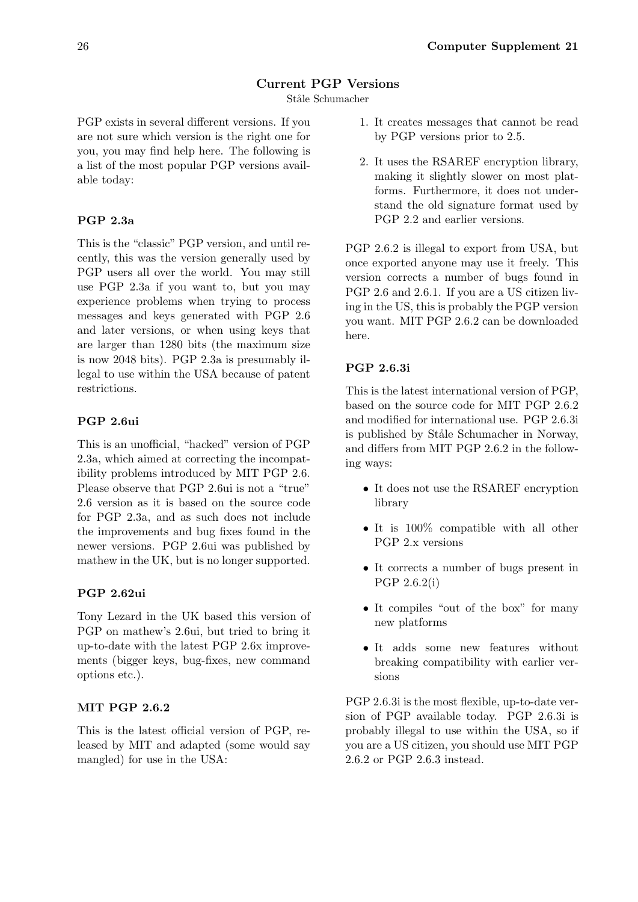# **Current PGP Versions**

Ståle Schumacher

PGP exists in several different versions. If you are not sure which version is the right one for you, you may find help here. The following is a list of the most popular PGP versions available today:

# **PGP 2.3a**

This is the "classic" PGP version, and until recently, this was the version generally used by PGP users all over the world. You may still use PGP 2.3a if you want to, but you may experience problems when trying to process messages and keys generated with PGP 2.6 and later versions, or when using keys that are larger than 1280 bits (the maximum size is now 2048 bits). PGP 2.3a is presumably illegal to use within the USA because of patent restrictions.

# **PGP 2.6ui**

This is an unofficial, "hacked" version of PGP 2.3a, which aimed at correcting the incompatibility problems introduced by MIT PGP 2.6. Please observe that PGP 2.6ui is not a "true" 2.6 version as it is based on the source code for PGP 2.3a, and as such does not include the improvements and bug fixes found in the newer versions. PGP 2.6ui was published by mathew in the UK, but is no longer supported.

# **PGP 2.62ui**

Tony Lezard in the UK based this version of PGP on mathew's 2.6ui, but tried to bring it up-to-date with the latest PGP 2.6x improvements (bigger keys, bug-fixes, new command options etc.).

# **MIT PGP 2.6.2**

This is the latest official version of PGP, released by MIT and adapted (some would say mangled) for use in the USA:

- 1. It creates messages that cannot be read by PGP versions prior to 2.5.
- 2. It uses the RSAREF encryption library, making it slightly slower on most platforms. Furthermore, it does not understand the old signature format used by PGP 2.2 and earlier versions.

PGP 2.6.2 is illegal to export from USA, but once exported anyone may use it freely. This version corrects a number of bugs found in PGP 2.6 and 2.6.1. If you are a US citizen living in the US, this is probably the PGP version you want. MIT PGP 2.6.2 can be downloaded here.

# **PGP 2.6.3i**

This is the latest international version of PGP, based on the source code for MIT PGP 2.6.2 and modified for international use. PGP 2.6.3i is published by Ståle Schumacher in Norway, and differs from MIT PGP 2.6.2 in the following ways:

- It does not use the RSAREF encryption library
- *•* It is 100% compatible with all other PGP 2.x versions
- *•* It corrects a number of bugs present in PGP 2.6.2(i)
- It compiles "out of the box" for many new platforms
- *•* It adds some new features without breaking compatibility with earlier versions

PGP 2.6.3i is the most flexible, up-to-date version of PGP available today. PGP 2.6.3i is probably illegal to use within the USA, so if you are a US citizen, you should use MIT PGP 2.6.2 or PGP 2.6.3 instead.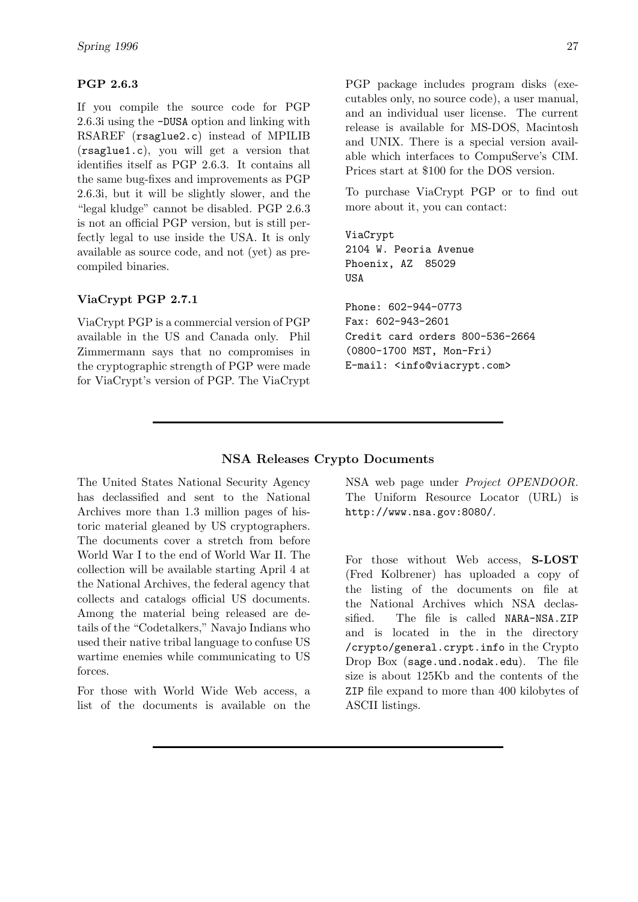# **PGP 2.6.3**

If you compile the source code for PGP 2.6.3i using the -DUSA option and linking with RSAREF (rsaglue2.c) instead of MPILIB (rsaglue1.c), you will get a version that identifies itself as PGP 2.6.3. It contains all the same bug-fixes and improvements as PGP 2.6.3i, but it will be slightly slower, and the "legal kludge" cannot be disabled. PGP 2.6.3 is not an official PGP version, but is still perfectly legal to use inside the USA. It is only available as source code, and not (yet) as precompiled binaries.

# **ViaCrypt PGP 2.7.1**

ViaCrypt PGP is a commercial version of PGP available in the US and Canada only. Phil Zimmermann says that no compromises in the cryptographic strength of PGP were made for ViaCrypt's version of PGP. The ViaCrypt PGP package includes program disks (executables only, no source code), a user manual, and an individual user license. The current release is available for MS-DOS, Macintosh and UNIX. There is a special version available which interfaces to CompuServe's CIM. Prices start at \$100 for the DOS version.

To purchase ViaCrypt PGP or to find out more about it, you can contact:

ViaCrypt 2104 W. Peoria Avenue Phoenix, AZ 85029 USA

Phone: 602-944-0773 Fax: 602-943-2601 Credit card orders 800-536-2664 (0800-1700 MST, Mon-Fri) E-mail: <info@viacrypt.com>

# **NSA Releases Crypto Documents**

The United States National Security Agency has declassified and sent to the National Archives more than 1.3 million pages of historic material gleaned by US cryptographers. The documents cover a stretch from before World War I to the end of World War II. The collection will be available starting April 4 at the National Archives, the federal agency that collects and catalogs official US documents. Among the material being released are details of the "Codetalkers," Navajo Indians who used their native tribal language to confuse US wartime enemies while communicating to US forces.

For those with World Wide Web access, a list of the documents is available on the NSA web page under *Project OPENDOOR*. The Uniform Resource Locator (URL) is http://www.nsa.gov:8080/.

For those without Web access, **S-LOST** (Fred Kolbrener) has uploaded a copy of the listing of the documents on file at the National Archives which NSA declassified. The file is called NARA-NSA.ZIP and is located in the in the directory /crypto/general.crypt.info in the Crypto Drop Box (sage.und.nodak.edu). The file size is about 125Kb and the contents of the ZIP file expand to more than 400 kilobytes of ASCII listings.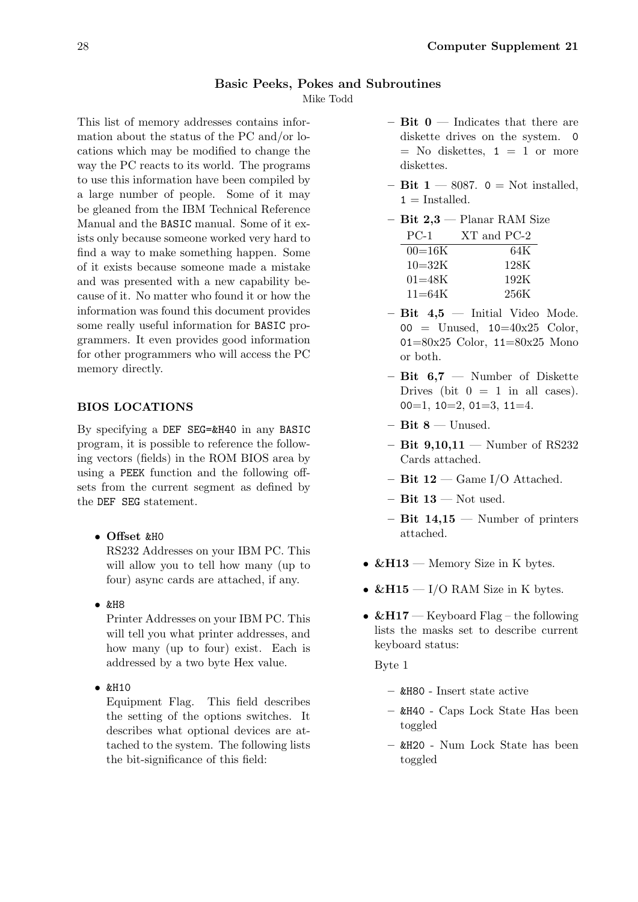### **Basic Peeks, Pokes and Subroutines** Mike Todd

This list of memory addresses contains information about the status of the PC and/or locations which may be modified to change the way the PC reacts to its world. The programs to use this information have been compiled by a large number of people. Some of it may be gleaned from the IBM Technical Reference Manual and the BASIC manual. Some of it exists only because someone worked very hard to find a way to make something happen. Some of it exists because someone made a mistake and was presented with a new capability because of it. No matter who found it or how the information was found this document provides some really useful information for BASIC programmers. It even provides good information for other programmers who will access the PC memory directly.

# **BIOS LOCATIONS**

By specifying a DEF SEG=&H40 in any BASIC program, it is possible to reference the following vectors (fields) in the ROM BIOS area by using a PEEK function and the following offsets from the current segment as defined by the DEF SEG statement.

*•* **Offset** &H0

RS232 Addresses on your IBM PC. This will allow you to tell how many (up to four) async cards are attached, if any.

*•* &H8

Printer Addresses on your IBM PC. This will tell you what printer addresses, and how many (up to four) exist. Each is addressed by a two byte Hex value.

*•* &H10

Equipment Flag. This field describes the setting of the options switches. It describes what optional devices are attached to the system. The following lists the bit-significance of this field:

- **Bit 0** Indicates that there are diskette drives on the system. 0  $=$  No diskettes,  $1 = 1$  or more diskettes.
- $-$  **Bit 1**  $-$  8087.  $0 =$  Not installed,  $1 =$  Installed.
- **Bit 2,3** Planar RAM Size PC-1 XT and PC-2 00=16K 64K 10=32K 128K 01=48K 192K 11=64K 256K
- **Bit 4,5** Initial Video Mode.  $00 =$  Unused,  $10=40x25$  Color, 01=80x25 Color, 11=80x25 Mono or both.
- **Bit 6,7** Number of Diskette Drives (bit  $0 = 1$  in all cases).  $00=1, 10=2, 01=3, 11=4.$
- **Bit 8** Unused.
- **Bit 9,10,11** Number of RS232 Cards attached.
- **Bit 12** Game I/O Attached.
- **Bit 13** Not used.
- **Bit 14,15** Number of printers attached.
- **&H13** Memory Size in K bytes.
- **&H15** I/O RAM Size in K bytes.
- *•* **&H17** Keyboard Flag the following lists the masks set to describe current keyboard status:

Byte 1

- **–** &H80 Insert state active
- **–** &H40 Caps Lock State Has been toggled
- **–** &H20 Num Lock State has been toggled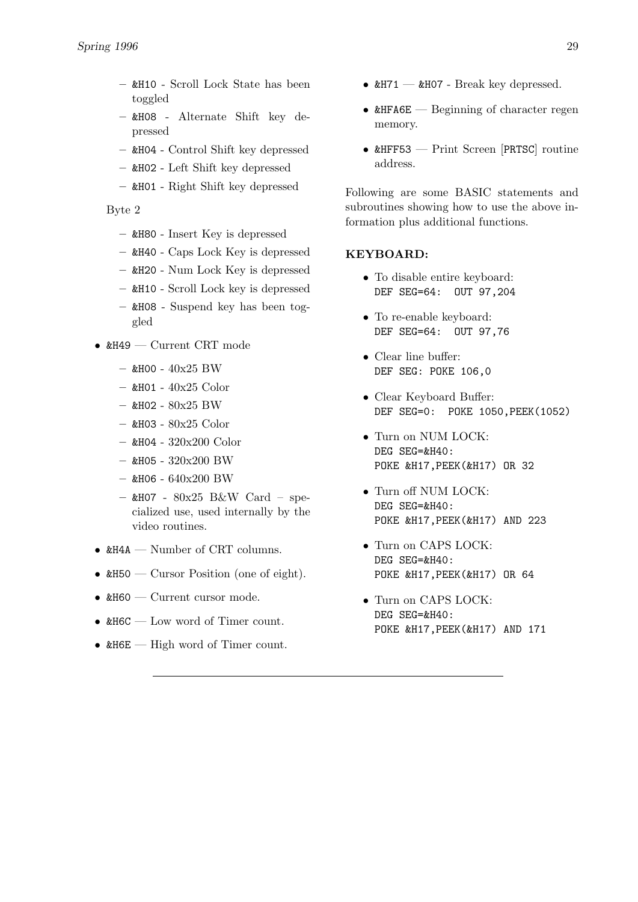- **–** &H10 Scroll Lock State has been toggled
- **–** &H08 Alternate Shift key depressed
- **–** &H04 Control Shift key depressed
- **–** &H02 Left Shift key depressed
- **–** &H01 Right Shift key depressed

### Byte 2

- **–** &H80 Insert Key is depressed
- **–** &H40 Caps Lock Key is depressed
- **–** &H20 Num Lock Key is depressed
- **–** &H10 Scroll Lock key is depressed
- **–** &H08 Suspend key has been toggled
- *•* &H49 Current CRT mode
	- **–** &H00 40x25 BW
	- **–** &H01 40x25 Color
	- **–** &H02 80x25 BW
	- **–** &H03 80x25 Color
	- **–** &H04 320x200 Color
	- **–** &H05 320x200 BW
	- **–** &H06 640x200 BW
	- **–** &H07 80x25 B&W Card specialized use, used internally by the video routines.
- $\&$ H4A Number of CRT columns.
- &H50 Cursor Position (one of eight).
- **&H60** Current cursor mode.
- &H6C Low word of Timer count.
- &H6E High word of Timer count.
- &H71 &H07 Break key depressed.
- **&HFA6E** Beginning of character regen memory.
- *•* &HFF53 Print Screen [PRTSC] routine address.

Following are some BASIC statements and subroutines showing how to use the above information plus additional functions.

# **KEYBOARD:**

- *•* To disable entire keyboard: DEF SEG=64: OUT 97,204
- *•* To re-enable keyboard: DEF SEG=64: OUT 97,76
- *•* Clear line buffer: DEF SEG: POKE 106,0
- *•* Clear Keyboard Buffer: DEF SEG=0: POKE 1050,PEEK(1052)
- *•* Turn on NUM LOCK: DEG SEG=&H40: POKE &H17,PEEK(&H17) OR 32
- *•* Turn off NUM LOCK: DEG SEG=&H40: POKE &H17, PEEK(&H17) AND 223
- *•* Turn on CAPS LOCK: DEG SEG=&H40: POKE &H17, PEEK(&H17) OR 64
- *•* Turn on CAPS LOCK: DEG SEG=&H40: POKE &H17,PEEK(&H17) AND 171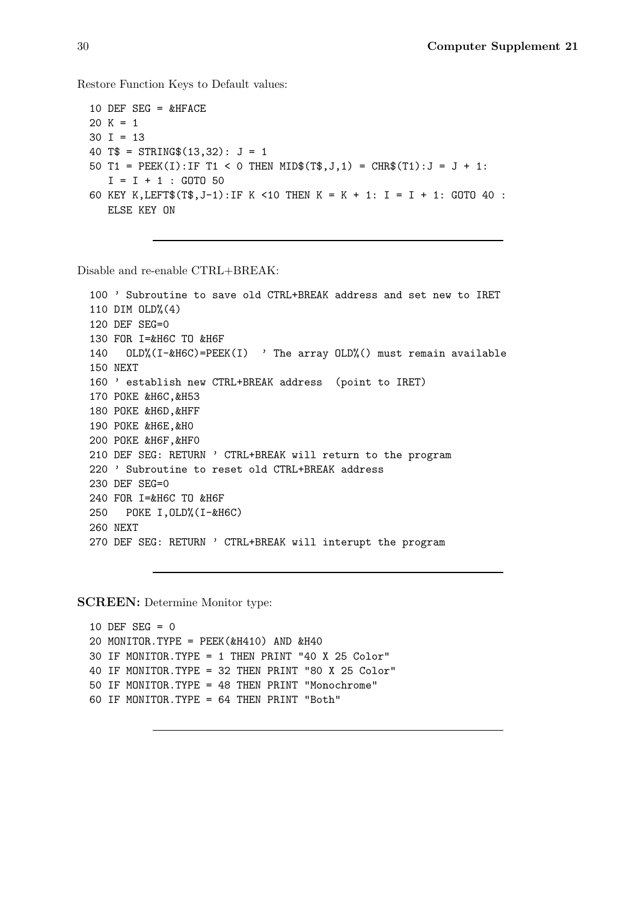Restore Function Keys to Default values:

```
10 DEF SEG = \text{\&}HFACE
20 K = 130 I = 13
40 T$ = STRING$(13,32): J = 1
50 T1 = PEEK(I): IF T1 < 0 THEN MID$(T$, J, 1) = CHR$(T1):J = J + 1:I = I + 1 : GOTO 5060 KEY K, LEFT$(T$, J-1): IF K <10 THEN K = K + 1: I = I + 1: GOTO 40 :
   ELSE KEY ON
```
Disable and re-enable CTRL+BREAK:

```
100 ' Subroutine to save old CTRL+BREAK address and set new to IRET
110 DIM OLD%(4)
120 DEF SEG=0
130 FOR I=&H6C TO &H6F
140 OLD%(I-&H6C)=PEEK(I) ' The array OLD%() must remain available
150 NEXT
160 ' establish new CTRL+BREAK address (point to IRET)
170 POKE &H6C,&H53
180 POKE &H6D,&HFF
190 POKE &H6E,&H0
200 POKE &H6F,&HF0
210 DEF SEG: RETURN ' CTRL+BREAK will return to the program
220 ' Subroutine to reset old CTRL+BREAK address
230 DEF SEG=0
240 FOR I=&H6C TO &H6F
250 POKE I,OLD%(I-&H6C)
260 NEXT
270 DEF SEG: RETURN ' CTRL+BREAK will interupt the program
```
**SCREEN:** Determine Monitor type:

10 DEF SEG = 0 20 MONITOR.TYPE = PEEK(&H410) AND &H40 30 IF MONITOR.TYPE = 1 THEN PRINT "40 X 25 Color" 40 IF MONITOR.TYPE = 32 THEN PRINT "80 X 25 Color" 50 IF MONITOR.TYPE = 48 THEN PRINT "Monochrome" 60 IF MONITOR.TYPE = 64 THEN PRINT "Both"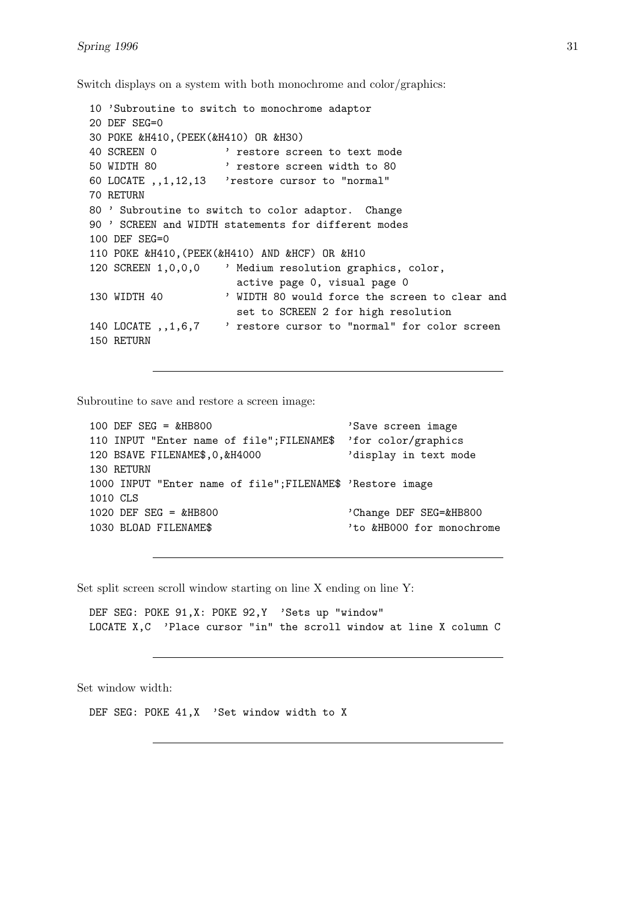Switch displays on a system with both monochrome and color/graphics:

```
10 'Subroutine to switch to monochrome adaptor
20 DEF SEG=0
30 POKE &H410,(PEEK(&H410) OR &H30)
40 SCREEN 0 \prime restore screen to text mode<br>50 WIDTH 20 \prime restore screen width to 20
50 WIDTH 80 ' restore screen width to 80
60 LOCATE ,,1,12,13 'restore cursor to "normal"
70 RETURN
80 ' Subroutine to switch to color adaptor. Change
90 ' SCREEN and WIDTH statements for different modes
100 DEF SEG=0
110 POKE &H410,(PEEK(&H410) AND &HCF) OR &H10
120 SCREEN 1,0,0,0 ' Medium resolution graphics, color,
                        active page 0, visual page 0
130 WIDTH 40 ' WIDTH 80 would force the screen to clear and
                        set to SCREEN 2 for high resolution
140 LOCATE ,,1,6,7 ' restore cursor to "normal" for color screen
150 RETURN
```
Subroutine to save and restore a screen image:

```
100 DEF SEG = &HB800 'Save screen image
110 INPUT "Enter name of file";FILENAME$ 'for color/graphics
120 BSAVE FILENAME$,0,&H4000 'display in text mode
130 RETURN
1000 INPUT "Enter name of file";FILENAME$ 'Restore image
1010 CLS
1020 DEF SEG = &HB800 'Change DEF SEG=&HB800
1030 BLOAD FILENAME$ 'to &HB000 for monochrome
```
Set split screen scroll window starting on line X ending on line Y:

DEF SEG: POKE 91, X: POKE 92, Y 'Sets up "window" LOCATE X, C 'Place cursor "in" the scroll window at line X column C

Set window width:

DEF SEG: POKE 41.X 'Set window width to X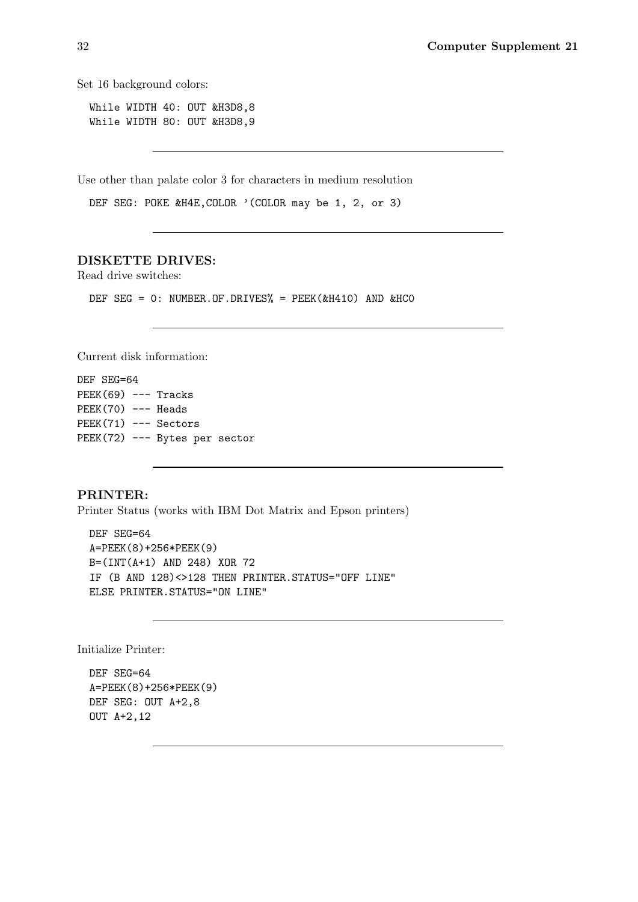Set 16 background colors:

While WIDTH 40: OUT &H3D8,8 While WIDTH 80: OUT &H3D8,9

Use other than palate color 3 for characters in medium resolution

DEF SEG: POKE &H4E, COLOR '(COLOR may be 1, 2, or 3)

### **DISKETTE DRIVES:**

Read drive switches:

DEF SEG = 0: NUMBER.OF.DRIVES% = PEEK(&H410) AND &HC0

Current disk information:

DEF SEG=64  $PEEK(69)$  --- Tracks  $PEEK(70)$  --- Heads PEEK(71) --- Sectors PEEK(72) --- Bytes per sector

### **PRINTER:**

Printer Status (works with IBM Dot Matrix and Epson printers)

DEF SEG=64 A=PEEK(8)+256\*PEEK(9) B=(INT(A+1) AND 248) XOR 72 IF (B AND 128)<>128 THEN PRINTER.STATUS="OFF LINE" ELSE PRINTER.STATUS="ON LINE"

Initialize Printer:

DEF SEG=64 A=PEEK(8)+256\*PEEK(9) DEF SEG: OUT A+2,8 OUT A+2,12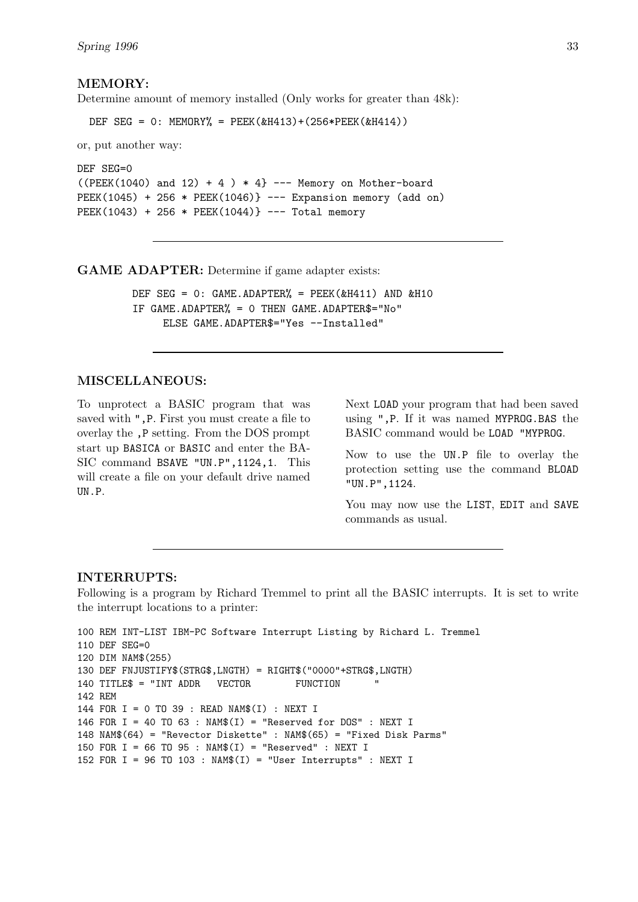# **MEMORY:**

Determine amount of memory installed (Only works for greater than 48k):

```
DEF SEG = 0: MEMORY% = PEEK(&H413)+(256*PEEK(&H414))
```
or, put another way:

DEF SEG=0 ((PEEK(1040) and  $12$ ) + 4 ) \* 4} --- Memory on Mother-board PEEK(1045) + 256 \* PEEK(1046)} --- Expansion memory (add on) PEEK(1043) + 256 \* PEEK(1044)} --- Total memory

**GAME ADAPTER:** Determine if game adapter exists:

DEF SEG =  $0:$  GAME. ADAPTER $%$  = PEEK(&H411) AND &H10 IF GAME.ADAPTER% = 0 THEN GAME.ADAPTER\$="No" ELSE GAME.ADAPTER\$="Yes --Installed"

# **MISCELLANEOUS:**

To unprotect a BASIC program that was saved with ",P. First you must create a file to overlay the ,P setting. From the DOS prompt start up BASICA or BASIC and enter the BA-SIC command BSAVE "UN.P",1124,1. This will create a file on your default drive named UN.P.

Next LOAD your program that had been saved using ",P. If it was named MYPROG.BAS the BASIC command would be LOAD "MYPROG.

Now to use the UN.P file to overlay the protection setting use the command BLOAD "UN.P",1124.

You may now use the LIST, EDIT and SAVE commands as usual.

### **INTERRUPTS:**

Following is a program by Richard Tremmel to print all the BASIC interrupts. It is set to write the interrupt locations to a printer:

```
100 REM INT-LIST IBM-PC Software Interrupt Listing by Richard L. Tremmel
110 DEF SEG=0
120 DIM NAM$(255)
130 DEF FNJUSTIFY$(STRG$,LNGTH) = RIGHT$("0000"+STRG$,LNGTH)
140 TITLE$ = "INT ADDR VECTOR FUNCTION "
142 REM
144 FOR I = 0 TO 39 : READ NAM$(I) : NEXT I
146 FOR I = 40 TO 63 : NAM$(I) = "Reserved for DOS" : NEXT I
148 NAM$(64) = "Revector Diskette" : NAM$(65) = "Fixed Disk Parms"
150 FOR I = 66 TO 95 : NAM$(I) = "Reserved" : NEXT I
152 FOR I = 96 TO 103 : NAM$(I) = "User Interrupts" : NEXT I
```